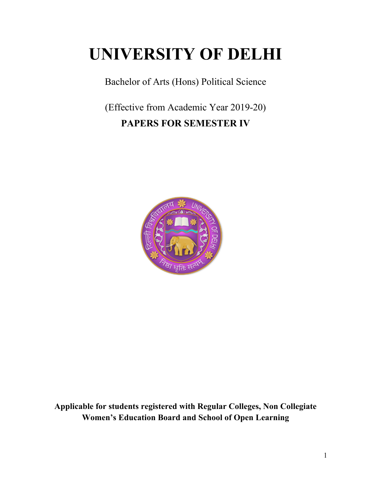# **UNIVERSITY OF DELHI**

Bachelor of Arts (Hons) Political Science

(Effective from Academic Year 2019-20) **PAPERS FOR SEMESTER IV**



**Applicable for students registered with Regular Colleges, Non Collegiate Women's Education Board and School of Open Learning**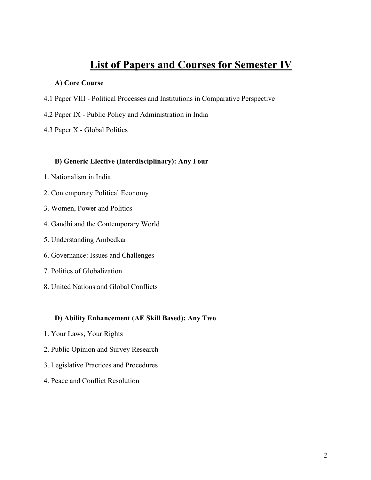# **List of Papers and Courses for Semester IV**

#### **A) Core Course**

- 4.1 Paper VIII Political Processes and Institutions in Comparative Perspective
- 4.2 Paper IX Public Policy and Administration in India
- 4.3 Paper X Global Politics

#### **B) Generic Elective (Interdisciplinary): Any Four**

- 1. Nationalism in India
- 2. Contemporary Political Economy
- 3. Women, Power and Politics
- 4. Gandhi and the Contemporary World
- 5. Understanding Ambedkar
- 6. Governance: Issues and Challenges
- 7. Politics of Globalization
- 8. United Nations and Global Conflicts

### **D) Ability Enhancement (AE Skill Based): Any Two**

- 1. Your Laws, Your Rights
- 2. Public Opinion and Survey Research
- 3. Legislative Practices and Procedures
- 4. Peace and Conflict Resolution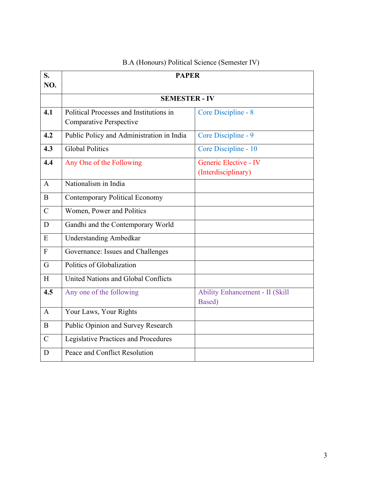| S.             | <b>PAPER</b>                                |                                                  |  |  |
|----------------|---------------------------------------------|--------------------------------------------------|--|--|
| NO.            |                                             |                                                  |  |  |
|                | <b>SEMESTER - IV</b>                        |                                                  |  |  |
| 4.1            | Political Processes and Institutions in     | Core Discipline - 8                              |  |  |
|                | <b>Comparative Perspective</b>              |                                                  |  |  |
| 4.2            | Public Policy and Administration in India   | Core Discipline - 9                              |  |  |
| 4.3            | <b>Global Politics</b>                      | Core Discipline - 10                             |  |  |
| 4.4            | Any One of the Following                    | Generic Elective - IV                            |  |  |
|                |                                             | (Interdisciplinary)                              |  |  |
| $\mathsf{A}$   | Nationalism in India                        |                                                  |  |  |
| $\bf{B}$       | <b>Contemporary Political Economy</b>       |                                                  |  |  |
| $\mathcal{C}$  | Women, Power and Politics                   |                                                  |  |  |
| D              | Gandhi and the Contemporary World           |                                                  |  |  |
| E              | <b>Understanding Ambedkar</b>               |                                                  |  |  |
| $\mathbf{F}$   | Governance: Issues and Challenges           |                                                  |  |  |
| $\overline{G}$ | Politics of Globalization                   |                                                  |  |  |
| H              | United Nations and Global Conflicts         |                                                  |  |  |
| 4.5            | Any one of the following                    | <b>Ability Enhancement - II (Skill</b><br>Based) |  |  |
| $\mathbf{A}$   | Your Laws, Your Rights                      |                                                  |  |  |
| $\bf{B}$       | Public Opinion and Survey Research          |                                                  |  |  |
| $\mathcal{C}$  | <b>Legislative Practices and Procedures</b> |                                                  |  |  |
| D              | Peace and Conflict Resolution               |                                                  |  |  |

# B.A (Honours) Political Science (Semester IV)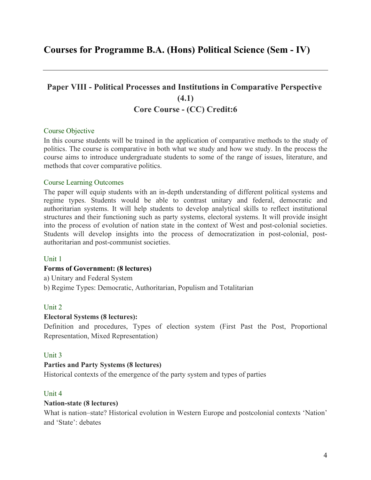# **Courses for Programme B.A. (Hons) Political Science (Sem - IV)**

# **Paper VIII - Political Processes and Institutions in Comparative Perspective (4.1) Core Course - (CC) Credit:6**

#### Course Objective

In this course students will be trained in the application of comparative methods to the study of politics. The course is comparative in both what we study and how we study. In the process the course aims to introduce undergraduate students to some of the range of issues, literature, and methods that cover comparative politics.

#### Course Learning Outcomes

The paper will equip students with an in-depth understanding of different political systems and regime types. Students would be able to contrast unitary and federal, democratic and authoritarian systems. It will help students to develop analytical skills to reflect institutional structures and their functioning such as party systems, electoral systems. It will provide insight into the process of evolution of nation state in the context of West and post-colonial societies. Students will develop insights into the process of democratization in post-colonial, postauthoritarian and post-communist societies.

#### Unit 1

#### **Forms of Government: (8 lectures)**

a) Unitary and Federal System

b) Regime Types: Democratic, Authoritarian, Populism and Totalitarian

#### Unit 2

#### **Electoral Systems (8 lectures):**

Definition and procedures, Types of election system (First Past the Post, Proportional Representation, Mixed Representation)

#### Unit 3

#### **Parties and Party Systems (8 lectures)**

Historical contexts of the emergence of the party system and types of parties

#### Unit 4

#### **Nation-state (8 lectures)**

What is nation–state? Historical evolution in Western Europe and postcolonial contexts 'Nation' and 'State': debates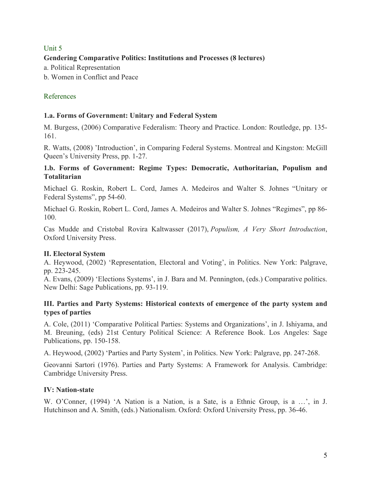# Unit 5

# **Gendering Comparative Politics: Institutions and Processes (8 lectures)**

a. Political Representation

b. Women in Conflict and Peace

# References

### **1.a. Forms of Government: Unitary and Federal System**

M. Burgess, (2006) Comparative Federalism: Theory and Practice. London: Routledge, pp. 135- 161.

R. Watts, (2008) 'Introduction', in Comparing Federal Systems. Montreal and Kingston: McGill Queen's University Press, pp. 1-27.

### **1.b. Forms of Government: Regime Types: Democratic, Authoritarian, Populism and Totalitarian**

Michael G. Roskin, Robert L. Cord, James A. Medeiros and Walter S. Johnes "Unitary or Federal Systems", pp 54-60.

Michael G. Roskin, Robert L. Cord, James A. Medeiros and Walter S. Johnes "Regimes", pp 86- 100.

Cas Mudde and Cristobal Rovira Kaltwasser (2017), *Populism, A Very Short Introduction*, Oxford University Press.

### **II. Electoral System**

A. Heywood, (2002) 'Representation, Electoral and Voting', in Politics. New York: Palgrave, pp. 223-245.

A. Evans, (2009) 'Elections Systems', in J. Bara and M. Pennington, (eds.) Comparative politics. New Delhi: Sage Publications, pp. 93-119.

### **III. Parties and Party Systems: Historical contexts of emergence of the party system and types of parties**

A. Cole, (2011) 'Comparative Political Parties: Systems and Organizations', in J. Ishiyama, and M. Breuning, (eds) 21st Century Political Science: A Reference Book. Los Angeles: Sage Publications, pp. 150-158.

A. Heywood, (2002) 'Parties and Party System', in Politics. New York: Palgrave, pp. 247-268.

Geovanni Sartori (1976). Parties and Party Systems: A Framework for Analysis. Cambridge: Cambridge University Press.

### **IV: Nation-state**

W. O'Conner, (1994) 'A Nation is a Nation, is a Sate, is a Ethnic Group, is a …', in J. Hutchinson and A. Smith, (eds.) Nationalism. Oxford: Oxford University Press, pp. 36-46.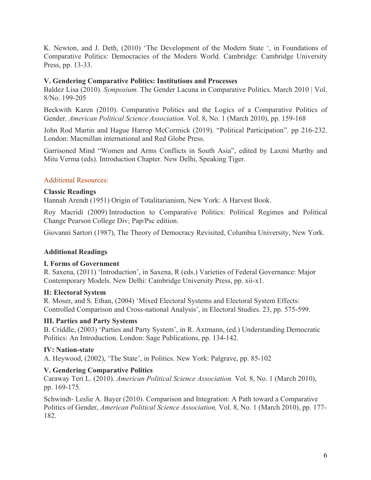K. Newton, and J. Deth, (2010) 'The Development of the Modern State ', in Foundations of Comparative Politics: Democracies of the Modern World. Cambridge: Cambridge University Press, pp. 13-33.

### **V. Gendering Comparative Politics: Institutions and Processes**

Baldez Lisa (2010). *Symposium.* The Gender Lacuna in Comparative Politics. March 2010 | Vol. 8/No. 199-205

Beckwith Karen (2010). Comparative Politics and the Logics of a Comparative Politics of Gender. *American Political Science Association.* Vol. 8, No. 1 (March 2010), pp. 159-168

John Rod Martin and Hague Harrop McCormick (2019). "Political Participation". pp 216-232. London: Macmillan international and Red Globe Press.

Garrisoned Mind "Women and Arms Conflicts in South Asia", edited by Laxmi Murthy and Mitu Verma (eds). Introduction Chapter. New Delhi, Speaking Tiger.

# Additional Resources:

### **Classic Readings**

Hannah Arendt (1951) Origin of Totalitarianism, New York: A Harvest Book.

Roy Macridi (2009) Introduction to Comparative Politics: Political Regimes and Political Change Pearson College Div; Pap/Psc edition.

Giovanni Sartori (1987), The Theory of Democracy Revisited, Columbia University, New York.

# **Additional Readings**

### **I. Forms of Government**

R. Saxena, (2011) 'Introduction', in Saxena, R (eds.) Varieties of Federal Governance: Major Contemporary Models. New Delhi: Cambridge University Press, pp. xii-x1.

### **II: Electoral System**

R. Moser, and S. Ethan, (2004) 'Mixed Electoral Systems and Electoral System Effects: Controlled Comparison and Cross-national Analysis', in Electoral Studies. 23, pp. 575-599.

### **III. Parties and Party Systems**

B. Criddle, (2003) 'Parties and Party System', in R. Axtmann, (ed.) Understanding Democratic Politics: An Introduction. London: Sage Publications, pp. 134-142.

### **IV: Nation-state**

A. Heywood, (2002), 'The State', in Politics. New York: Palgrave, pp. 85-102

### **V. Gendering Comparative Politics**

Caraway Teri L. (2010). *American Political Science Association.* Vol. 8, No. 1 (March 2010), pp. 169-175.

Schwindt- Leslie A. Bayer (2010). Comparison and Integration: A Path toward a Comparative Politics of Gender, *American Political Science Association,* Vol. 8, No. 1 (March 2010), pp. 177- 182.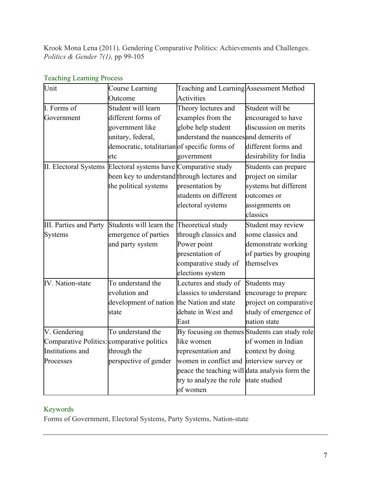Krook Mona Lena (2011). Gendering Comparative Politics: Achievements and Challenges. *Politics & Gender 7(1),* pp 99-105

| Unit                                       | <b>Course Learning</b>                                         | Teaching and Learning Assessment Method        |                                               |
|--------------------------------------------|----------------------------------------------------------------|------------------------------------------------|-----------------------------------------------|
|                                            | Outcome                                                        | <b>Activities</b>                              |                                               |
| I. Forms of                                | Student will learn                                             | Theory lectures and                            | Student will be                               |
| Government                                 | different forms of                                             | examples from the                              | encouraged to have                            |
|                                            | government like                                                | globe help student                             | discussion on merits                          |
|                                            | unitary, federal,                                              | understand the nuances and demerits of         |                                               |
|                                            | democratic, totalitarian of specific forms of                  |                                                | different forms and                           |
|                                            | etc                                                            | government                                     | desirability for India                        |
|                                            | II. Electoral Systems Electoral systems have Comparative study |                                                | Students can prepare                          |
|                                            | been key to understand through lectures and                    |                                                | project on similar                            |
|                                            | the political systems                                          | presentation by                                | systems but different                         |
|                                            |                                                                | students on different                          | outcomes or                                   |
|                                            |                                                                | electoral systems                              | assignments on                                |
|                                            |                                                                |                                                | classics                                      |
| <b>III.</b> Parties and Party              | Students will learn the                                        | Theoretical study                              | Student may review                            |
| <b>Systems</b>                             | emergence of parties                                           | through classics and                           | some classics and                             |
|                                            | and party system                                               | Power point                                    | demonstrate working                           |
|                                            |                                                                | presentation of                                | of parties by grouping                        |
|                                            |                                                                | comparative study of                           | themselves                                    |
|                                            |                                                                | elections system                               |                                               |
| <b>IV.</b> Nation-state                    | To understand the                                              | Lectures and study of                          | Students may                                  |
|                                            | evolution and                                                  | classics to understand                         | encourage to prepare                          |
|                                            | development of nation the Nation and state                     |                                                | project on comparative                        |
|                                            | state                                                          | debate in West and                             | study of emergence of                         |
|                                            |                                                                | East                                           | nation state                                  |
| V. Gendering                               | To understand the                                              |                                                | By focusing on themes Students can study role |
| Comparative Politics: comparative politics |                                                                | like women                                     | of women in Indian                            |
| Institutions and                           | through the                                                    | representation and                             | context by doing                              |
| Processes                                  | perspective of gender                                          | women in conflict and interview survey or      |                                               |
|                                            |                                                                | peace the teaching will data analysis form the |                                               |
|                                            |                                                                | try to analyze the role                        | state studied                                 |
|                                            |                                                                | of women                                       |                                               |

# Teaching Learning Process

# Keywords

Forms of Government, Electoral Systems, Party Systems, Nation-state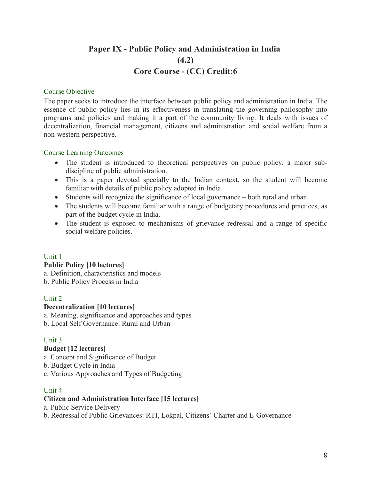# **Paper IX - Public Policy and Administration in India (4.2) Core Course - (CC) Credit:6**

#### Course Objective

The paper seeks to introduce the interface between public policy and administration in India. The essence of public policy lies in its effectiveness in translating the governing philosophy into programs and policies and making it a part of the community living. It deals with issues of decentralization, financial management, citizens and administration and social welfare from a non-western perspective.

#### Course Learning Outcomes

- The student is introduced to theoretical perspectives on public policy, a major subdiscipline of public administration.
- This is a paper devoted specially to the Indian context, so the student will become familiar with details of public policy adopted in India.
- Students will recognize the significance of local governance both rural and urban.
- The students will become familiar with a range of budgetary procedures and practices, as part of the budget cycle in India.
- The student is exposed to mechanisms of grievance redressal and a range of specific social welfare policies.

### Unit 1

### **Public Policy [10 lectures]**

a. Definition, characteristics and models b. Public Policy Process in India

### Unit 2

### **Decentralization [10 lectures]**

a. Meaning, significance and approaches and types b. Local Self Governance: Rural and Urban

# Unit 3

### **Budget [12 lectures]**

a. Concept and Significance of Budget

b. Budget Cycle in India

c. Various Approaches and Types of Budgeting

### Unit 4

### **Citizen and Administration Interface [15 lectures]**

a. Public Service Delivery

b. Redressal of Public Grievances: RTI, Lokpal, Citizens' Charter and E-Governance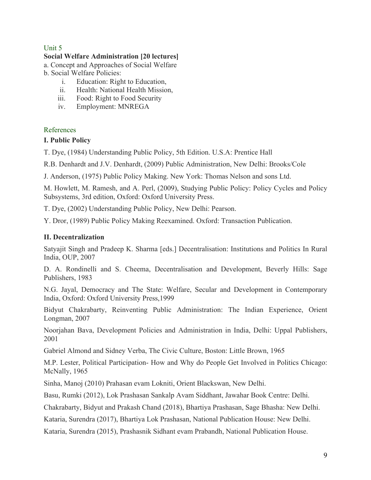# Unit 5

# **Social Welfare Administration [20 lectures]**

a. Concept and Approaches of Social Welfare b. Social Welfare Policies:

- i. Education: Right to Education,
- ii. Health: National Health Mission,
- iii. Food: Right to Food Security
- iv. Employment: MNREGA

#### References

#### **I. Public Policy**

T. Dye, (1984) Understanding Public Policy, 5th Edition. U.S.A: Prentice Hall

R.B. Denhardt and J.V. Denhardt, (2009) Public Administration, New Delhi: Brooks/Cole

J. Anderson, (1975) Public Policy Making. New York: Thomas Nelson and sons Ltd.

M. Howlett, M. Ramesh, and A. Perl, (2009), Studying Public Policy: Policy Cycles and Policy Subsystems, 3rd edition, Oxford: Oxford University Press.

T. Dye, (2002) Understanding Public Policy, New Delhi: Pearson.

Y. Dror, (1989) Public Policy Making Reexamined. Oxford: Transaction Publication.

### **II. Decentralization**

Satyajit Singh and Pradeep K. Sharma [eds.] Decentralisation: Institutions and Politics In Rural India, OUP, 2007

D. A. Rondinelli and S. Cheema, Decentralisation and Development, Beverly Hills: Sage Publishers, 1983

N.G. Jayal, Democracy and The State: Welfare, Secular and Development in Contemporary India, Oxford: Oxford University Press,1999

Bidyut Chakrabarty, Reinventing Public Administration: The Indian Experience, Orient Longman, 2007

Noorjahan Bava, Development Policies and Administration in India, Delhi: Uppal Publishers, 2001

Gabriel Almond and Sidney Verba, The Civic Culture, Boston: Little Brown, 1965

M.P. Lester, Political Participation- How and Why do People Get Involved in Politics Chicago: McNally, 1965

Sinha, Manoj (2010) Prahasan evam Lokniti, Orient Blackswan, New Delhi.

Basu, Rumki (2012), Lok Prashasan Sankalp Avam Siddhant, Jawahar Book Centre: Delhi.

Chakrabarty, Bidyut and Prakash Chand (2018), Bhartiya Prashasan, Sage Bhasha: New Delhi.

Kataria, Surendra (2017), Bhartiya Lok Prashasan, National Publication House: New Delhi.

Kataria, Surendra (2015), Prashasnik Sidhant evam Prabandh, National Publication House.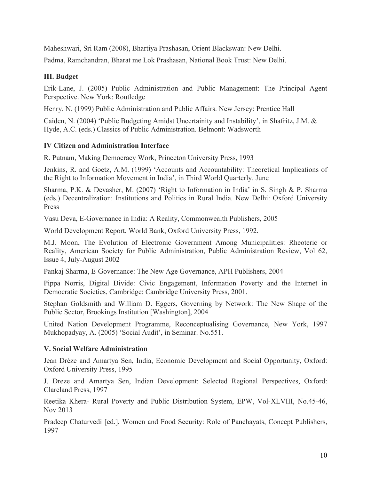Maheshwari, Sri Ram (2008), Bhartiya Prashasan, Orient Blackswan: New Delhi.

Padma, Ramchandran, Bharat me Lok Prashasan, National Book Trust: New Delhi.

### **III. Budget**

Erik-Lane, J. (2005) Public Administration and Public Management: The Principal Agent Perspective. New York: Routledge

Henry, N. (1999) Public Administration and Public Affairs. New Jersey: Prentice Hall

Caiden, N. (2004) 'Public Budgeting Amidst Uncertainity and Instability', in Shafritz, J.M. & Hyde, A.C. (eds.) Classics of Public Administration. Belmont: Wadsworth

### **IV Citizen and Administration Interface**

R. Putnam, Making Democracy Work, Princeton University Press, 1993

Jenkins, R. and Goetz, A.M. (1999) 'Accounts and Accountability: Theoretical Implications of the Right to Information Movement in India', in Third World Quarterly. June

Sharma, P.K. & Devasher, M. (2007) 'Right to Information in India' in S. Singh & P. Sharma (eds.) Decentralization: Institutions and Politics in Rural India. New Delhi: Oxford University Press

Vasu Deva, E-Governance in India: A Reality, Commonwealth Publishers, 2005

World Development Report, World Bank, Oxford University Press, 1992.

M.J. Moon, The Evolution of Electronic Government Among Municipalities: Rheoteric or Reality, American Society for Public Administration, Public Administration Review, Vol 62, Issue 4, July-August 2002

Pankaj Sharma, E-Governance: The New Age Governance, APH Publishers, 2004

Pippa Norris, Digital Divide: Civic Engagement, Information Poverty and the Internet in Democratic Societies, Cambridge: Cambridge University Press, 2001.

Stephan Goldsmith and William D. Eggers, Governing by Network: The New Shape of the Public Sector, Brookings Institution [Washington], 2004

United Nation Development Programme, Reconceptualising Governance, New York, 1997 Mukhopadyay, A. (2005) 'Social Audit', in Seminar. No.551.

### **V. Social Welfare Administration**

Jean Drèze and Amartya Sen, India, Economic Development and Social Opportunity, Oxford: Oxford University Press, 1995

J. Dreze and Amartya Sen, Indian Development: Selected Regional Perspectives, Oxford: Clareland Press, 1997

Reetika Khera- Rural Poverty and Public Distribution System, EPW, Vol-XLVIII, No.45-46, Nov 2013

Pradeep Chaturvedi [ed.], Women and Food Security: Role of Panchayats, Concept Publishers, 1997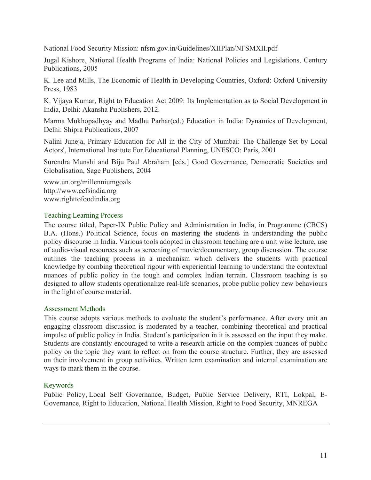National Food Security Mission: nfsm.gov.in/Guidelines/XIIPlan/NFSMXII.pdf

Jugal Kishore, National Health Programs of India: National Policies and Legislations, Century Publications, 2005

K. Lee and Mills, The Economic of Health in Developing Countries, Oxford: Oxford University Press, 1983

K. Vijaya Kumar, Right to Education Act 2009: Its Implementation as to Social Development in India, Delhi: Akansha Publishers, 2012.

Marma Mukhopadhyay and Madhu Parhar(ed.) Education in India: Dynamics of Development, Delhi: Shipra Publications, 2007

Nalini Juneja, Primary Education for All in the City of Mumbai: The Challenge Set by Local Actors', International Institute For Educational Planning, UNESCO: Paris, 2001

Surendra Munshi and Biju Paul Abraham [eds.] Good Governance, Democratic Societies and Globalisation, Sage Publishers, 2004

www.un.org/millenniumgoals http://www.cefsindia.org www.righttofoodindia.org

#### Teaching Learning Process

The course titled, Paper-IX Public Policy and Administration in India, in Programme (CBCS) B.A. (Hons.) Political Science, focus on mastering the students in understanding the public policy discourse in India. Various tools adopted in classroom teaching are a unit wise lecture, use of audio-visual resources such as screening of movie/documentary, group discussion. The course outlines the teaching process in a mechanism which delivers the students with practical knowledge by combing theoretical rigour with experiential learning to understand the contextual nuances of public policy in the tough and complex Indian terrain. Classroom teaching is so designed to allow students operationalize real-life scenarios, probe public policy new behaviours in the light of course material.

#### Assessment Methods

This course adopts various methods to evaluate the student's performance. After every unit an engaging classroom discussion is moderated by a teacher, combining theoretical and practical impulse of public policy in India. Student's participation in it is assessed on the input they make. Students are constantly encouraged to write a research article on the complex nuances of public policy on the topic they want to reflect on from the course structure. Further, they are assessed on their involvement in group activities. Written term examination and internal examination are ways to mark them in the course.

### Keywords

Public Policy, Local Self Governance, Budget, Public Service Delivery, RTI, Lokpal, E-Governance, Right to Education, National Health Mission, Right to Food Security, MNREGA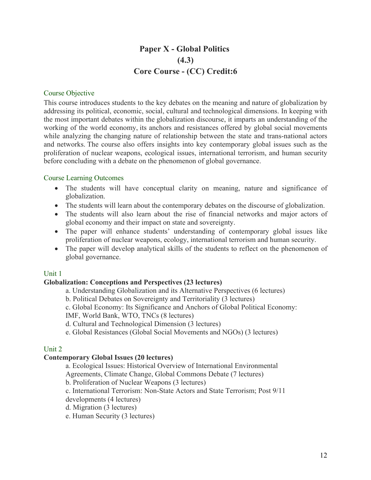# **Paper X - Global Politics (4.3) Core Course - (CC) Credit:6**

#### Course Objective

This course introduces students to the key debates on the meaning and nature of globalization by addressing its political, economic, social, cultural and technological dimensions. In keeping with the most important debates within the globalization discourse, it imparts an understanding of the working of the world economy, its anchors and resistances offered by global social movements while analyzing the changing nature of relationship between the state and trans-national actors and networks. The course also offers insights into key contemporary global issues such as the proliferation of nuclear weapons, ecological issues, international terrorism, and human security before concluding with a debate on the phenomenon of global governance.

#### Course Learning Outcomes

- The students will have conceptual clarity on meaning, nature and significance of globalization.
- The students will learn about the contemporary debates on the discourse of globalization.
- The students will also learn about the rise of financial networks and major actors of global economy and their impact on state and sovereignty.
- The paper will enhance students' understanding of contemporary global issues like proliferation of nuclear weapons, ecology, international terrorism and human security.
- The paper will develop analytical skills of the students to reflect on the phenomenon of global governance.

#### Unit 1

#### **Globalization: Conceptions and Perspectives (23 lectures)**

- a. Understanding Globalization and its Alternative Perspectives (6 lectures)
- b. Political Debates on Sovereignty and Territoriality (3 lectures)
- c. Global Economy: Its Significance and Anchors of Global Political Economy:

IMF, World Bank, WTO, TNCs (8 lectures)

d. Cultural and Technological Dimension (3 lectures)

e. Global Resistances (Global Social Movements and NGOs) (3 lectures)

#### Unit 2

#### **Contemporary Global Issues (20 lectures)**

a. Ecological Issues: Historical Overview of International Environmental

Agreements, Climate Change, Global Commons Debate (7 lectures)

b. Proliferation of Nuclear Weapons (3 lectures)

c. International Terrorism: Non-State Actors and State Terrorism; Post 9/11

developments (4 lectures)

d. Migration (3 lectures)

e. Human Security (3 lectures)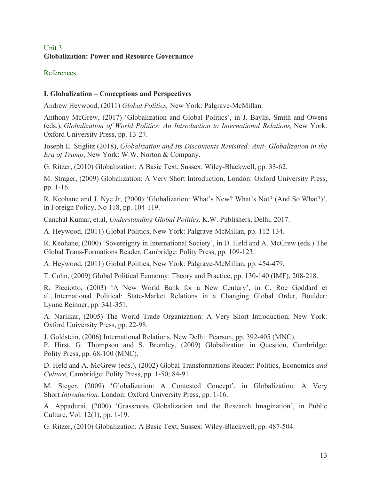# Unit 3 **Globalization: Power and Resource Governance**

### References

# **I. Globalization – Conceptions and Perspectives**

Andrew Heywood, (2011) *Global Politics,* New York: Palgrave-McMillan.

Anthony McGrew, (2017) 'Globalization and Global Politics', in J. Baylis, Smith and Owens (eds.), *Globalization of World Politics: An Introduction to International Relations,* New York: Oxford University Press, pp. 13-27.

Joseph E. Stiglitz (2018), *Globalization and Its Discontents Revisited: Anti- Globalization in the Era of Trump*, New York: W.W. Norton & Company.

G. Ritzer, (2010) Globalization: A Basic Text, Sussex: Wiley-Blackwell, pp. 33-62.

M. Strager, (2009) Globalization: A Very Short Introduction, London: Oxford University Press, pp. 1-16.

R. Keohane and J. Nye Jr, (2000) 'Globalization: What's New? What's Not? (And So What?)', in Foreign Policy, No 118, pp. 104-119.

Canchal Kumar, et.al, *Understanding Global Politics,* K.W. Publishers, Delhi, 2017.

A. Heywood, (2011) Global Politics, New York: Palgrave-McMillan, pp. 112-134.

R. Keohane, (2000) 'Sovereignty in International Society', in D. Held and A. McGrew (eds.) The Global Trans-Formations Reader, Cambridge: Polity Press, pp. 109-123.

A. Heywood, (2011) Global Politics, New York: Palgrave-McMillan, pp. 454-479.

T. Cohn, (2009) Global Political Economy: Theory and Practice, pp. 130-140 (IMF), 208-218.

R. Picciotto, (2003) 'A New World Bank for a New Century', in C. Roe Goddard et al., International Political: State-Market Relations in a Changing Global Order, Boulder: Lynne Reinner, pp. 341-351.

A. Narlikar, (2005) The World Trade Organization: A Very Short Introduction, New York: Oxford University Press, pp. 22-98.

J. Goldstein, (2006) International Relations, New Delhi: Pearson, pp. 392-405 (MNC).

P. Hirst, G. Thompson and S. Bromley, (2009) Globalization in Question, Cambridge: Polity Press, pp. 68-100 (MNC).

D. Held and A. McGrew (eds.), (2002) Global Transformations Reader: Politics, Economics *and Culture*, Cambridge: Polity Press, pp. 1-50; 84-91.

M. Steger, (2009) 'Globalization: A Contested Concept', in Globalization: A Very Short *Introduction,* London: Oxford University Press, pp. 1-16.

A. Appadurai, (2000) 'Grassroots Globalization and the Research Imagination', in Public Culture, Vol. 12(1), pp. 1-19.

G. Ritzer, (2010) Globalization: A Basic Text, Sussex: Wiley-Blackwell, pp. 487-504.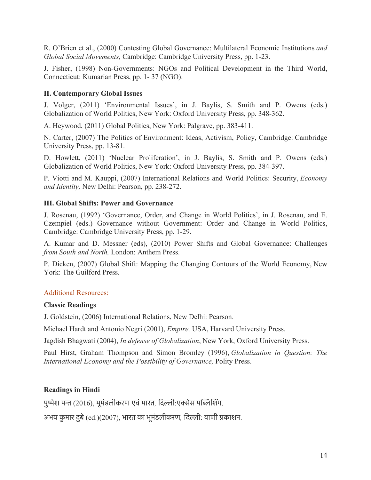R. O'Brien et al., (2000) Contesting Global Governance: Multilateral Economic Institutions *and Global Social Movements,* Cambridge: Cambridge University Press, pp. 1-23.

J. Fisher, (1998) Non-Governments: NGOs and Political Development in the Third World, Connecticut: Kumarian Press, pp. 1- 37 (NGO).

### **II. Contemporary Global Issues**

J. Volger, (2011) 'Environmental Issues', in J. Baylis, S. Smith and P. Owens (eds.) Globalization of World Politics, New York: Oxford University Press, pp. 348-362.

A. Heywood, (2011) Global Politics, New York: Palgrave, pp. 383-411.

N. Carter, (2007) The Politics of Environment: Ideas, Activism, Policy, Cambridge: Cambridge University Press, pp. 13-81.

D. Howlett, (2011) 'Nuclear Proliferation', in J. Baylis, S. Smith and P. Owens (eds.) Globalization of World Politics, New York: Oxford University Press, pp. 384-397.

P. Viotti and M. Kauppi, (2007) International Relations and World Politics: Security, *Economy and Identity,* New Delhi: Pearson, pp. 238-272.

### **III. Global Shifts: Power and Governance**

J. Rosenau, (1992) 'Governance, Order, and Change in World Politics', in J. Rosenau, and E. Czempiel (eds.) Governance without Government: Order and Change in World Politics, Cambridge: Cambridge University Press, pp. 1-29.

A. Kumar and D. Messner (eds), (2010) Power Shifts and Global Governance: Challenges *from South and North,* London: Anthem Press.

P. Dicken, (2007) Global Shift: Mapping the Changing Contours of the World Economy, New York: The Guilford Press.

### Additional Resources:

#### **Classic Readings**

J. Goldstein, (2006) International Relations, New Delhi: Pearson.

Michael Hardt and Antonio Negri (2001), *Empire,* USA, Harvard University Press.

Jagdish Bhagwati (2004), *In defense of Globalization*, New York, Oxford University Press.

Paul Hirst, Graham Thompson and Simon Bromley (1996), *Globalization in Question: The International Economy and the Possibility of Governance,* Polity Press.

### **Readings in Hindi**

पुषेश पन (2016), भूमंडलीकरण एवंभारत*,* िदली:एकेस पिबिशंग.

अभय कु मार दुबे(ed.)(2007), भारत का भूमंडलीकरण*,* िदली: वाणी पकाशन.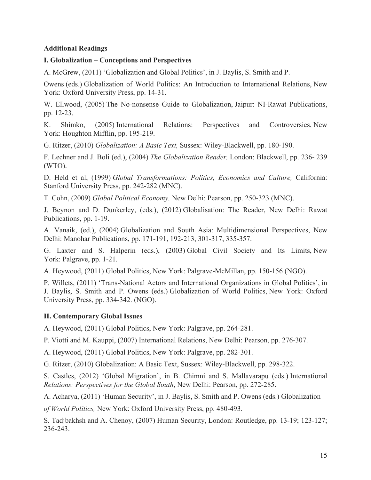#### **Additional Readings**

#### **I. Globalization – Conceptions and Perspectives**

A. McGrew, (2011) 'Globalization and Global Politics', in J. Baylis, S. Smith and P.

Owens (eds.) Globalization of World Politics: An Introduction to International Relations, New York: Oxford University Press, pp. 14-31.

W. Ellwood, (2005) The No-nonsense Guide to Globalization, Jaipur: NI-Rawat Publications, pp. 12-23.

K. Shimko, (2005) International Relations: Perspectives and Controversies, New York: Houghton Mifflin, pp. 195-219.

G. Ritzer, (2010) *Globalization: A Basic Text,* Sussex: Wiley-Blackwell, pp. 180-190.

F. Lechner and J. Boli (ed.), (2004) *The Globalization Reader,* London: Blackwell, pp. 236- 239 (WTO).

D. Held et al, (1999) *Global Transformations: Politics, Economics and Culture,* California: Stanford University Press, pp. 242-282 (MNC).

T. Cohn, (2009) *Global Political Economy,* New Delhi: Pearson, pp. 250-323 (MNC).

J. Beynon and D. Dunkerley, (eds.), (2012) Globalisation: The Reader, New Delhi: Rawat Publications, pp. 1-19.

A. Vanaik, (ed.), (2004) Globalization and South Asia: Multidimensional Perspectives, New Delhi: Manohar Publications, pp. 171-191, 192-213, 301-317, 335-357.

G. Laxter and S. Halperin (eds.), (2003) Global Civil Society and Its Limits, New York: Palgrave, pp. 1-21.

A. Heywood, (2011) Global Politics, New York: Palgrave-McMillan, pp. 150-156 (NGO).

P. Willets, (2011) 'Trans-National Actors and International Organizations in Global Politics', in J. Baylis, S. Smith and P. Owens (eds.) Globalization of World Politics, New York: Oxford University Press, pp. 334-342. (NGO).

### **II. Contemporary Global Issues**

A. Heywood, (2011) Global Politics, New York: Palgrave, pp. 264-281.

P. Viotti and M. Kauppi, (2007) International Relations, New Delhi: Pearson, pp. 276-307.

A. Heywood, (2011) Global Politics, New York: Palgrave, pp. 282-301.

G. Ritzer, (2010) Globalization: A Basic Text, Sussex: Wiley-Blackwell, pp. 298-322.

S. Castles, (2012) 'Global Migration', in B. Chimni and S. Mallavarapu (eds.) International *Relations: Perspectives for the Global South*, New Delhi: Pearson, pp. 272-285.

A. Acharya, (2011) 'Human Security', in J. Baylis, S. Smith and P. Owens (eds.) Globalization

*of World Politics,* New York: Oxford University Press, pp. 480-493.

S. Tadjbakhsh and A. Chenoy, (2007) Human Security, London: Routledge, pp. 13-19; 123-127; 236-243.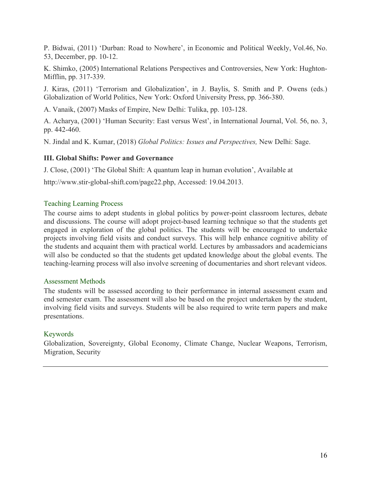P. Bidwai, (2011) 'Durban: Road to Nowhere', in Economic and Political Weekly, Vol.46, No. 53, December, pp. 10-12.

K. Shimko, (2005) International Relations Perspectives and Controversies, New York: Hughton-Mifflin, pp. 317-339.

J. Kiras, (2011) 'Terrorism and Globalization', in J. Baylis, S. Smith and P. Owens (eds.) Globalization of World Politics, New York: Oxford University Press, pp. 366-380.

A. Vanaik, (2007) Masks of Empire, New Delhi: Tulika, pp. 103-128.

A. Acharya, (2001) 'Human Security: East versus West', in International Journal, Vol. 56, no. 3, pp. 442-460.

N. Jindal and K. Kumar, (2018) *Global Politics: Issues and Perspectives,* New Delhi: Sage.

#### **III. Global Shifts: Power and Governance**

J. Close, (2001) 'The Global Shift: A quantum leap in human evolution', Available at

http://www.stir-global-shift.com/page22.php, Accessed: 19.04.2013.

#### Teaching Learning Process

The course aims to adept students in global politics by power-point classroom lectures, debate and discussions. The course will adopt project-based learning technique so that the students get engaged in exploration of the global politics. The students will be encouraged to undertake projects involving field visits and conduct surveys. This will help enhance cognitive ability of the students and acquaint them with practical world. Lectures by ambassadors and academicians will also be conducted so that the students get updated knowledge about the global events. The teaching-learning process will also involve screening of documentaries and short relevant videos.

#### Assessment Methods

The students will be assessed according to their performance in internal assessment exam and end semester exam. The assessment will also be based on the project undertaken by the student, involving field visits and surveys. Students will be also required to write term papers and make presentations.

### Keywords

Globalization, Sovereignty, Global Economy, Climate Change, Nuclear Weapons, Terrorism, Migration, Security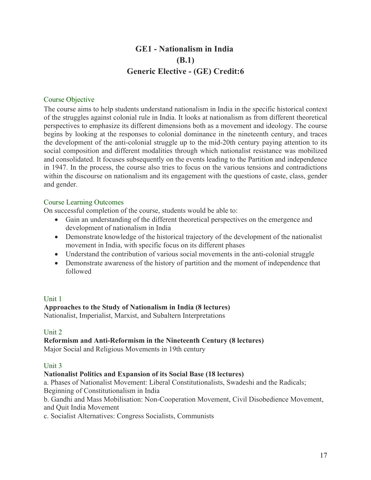# **GE1 - Nationalism in India (B.1) Generic Elective - (GE) Credit:6**

#### Course Objective

The course aims to help students understand nationalism in India in the specific historical context of the struggles against colonial rule in India. It looks at nationalism as from different theoretical perspectives to emphasize its different dimensions both as a movement and ideology. The course begins by looking at the responses to colonial dominance in the nineteenth century, and traces the development of the anti-colonial struggle up to the mid-20th century paying attention to its social composition and different modalities through which nationalist resistance was mobilized and consolidated. It focuses subsequently on the events leading to the Partition and independence in 1947. In the process, the course also tries to focus on the various tensions and contradictions within the discourse on nationalism and its engagement with the questions of caste, class, gender and gender.

#### Course Learning Outcomes

On successful completion of the course, students would be able to:

- Gain an understanding of the different theoretical perspectives on the emergence and development of nationalism in India
- Demonstrate knowledge of the historical trajectory of the development of the nationalist movement in India, with specific focus on its different phases
- Understand the contribution of various social movements in the anti-colonial struggle
- Demonstrate awareness of the history of partition and the moment of independence that followed

### Unit 1

### **Approaches to the Study of Nationalism in India (8 lectures)**

Nationalist, Imperialist, Marxist, and Subaltern Interpretations

### Unit 2

# **Reformism and Anti-Reformism in the Nineteenth Century (8 lectures)**

Major Social and Religious Movements in 19th century

#### Unit 3

### **Nationalist Politics and Expansion of its Social Base (18 lectures)**

a. Phases of Nationalist Movement: Liberal Constitutionalists, Swadeshi and the Radicals; Beginning of Constitutionalism in India

b. Gandhi and Mass Mobilisation: Non-Cooperation Movement, Civil Disobedience Movement, and Quit India Movement

c. Socialist Alternatives: Congress Socialists, Communists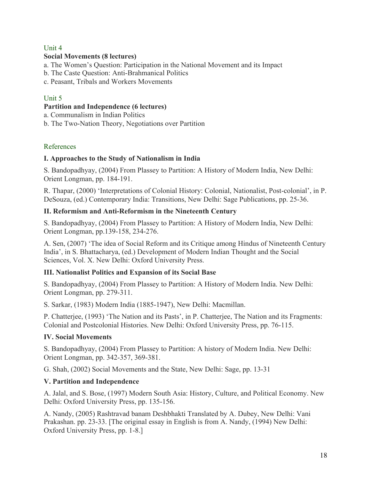# Unit 4

# **Social Movements (8 lectures)**

a. The Women's Question: Participation in the National Movement and its Impact

- b. The Caste Question: Anti-Brahmanical Politics
- c. Peasant, Tribals and Workers Movements

# Unit 5

### **Partition and Independence (6 lectures)**

a. Communalism in Indian Politics

b. The Two-Nation Theory, Negotiations over Partition

# References

# **I. Approaches to the Study of Nationalism in India**

S. Bandopadhyay, (2004) From Plassey to Partition: A History of Modern India, New Delhi: Orient Longman, pp. 184-191.

R. Thapar, (2000) 'Interpretations of Colonial History: Colonial, Nationalist, Post-colonial', in P. DeSouza, (ed.) Contemporary India: Transitions, New Delhi: Sage Publications, pp. 25-36.

# **II. Reformism and Anti-Reformism in the Nineteenth Century**

S. Bandopadhyay, (2004) From Plassey to Partition: A History of Modern India, New Delhi: Orient Longman, pp.139-158, 234-276.

A. Sen, (2007) 'The idea of Social Reform and its Critique among Hindus of Nineteenth Century India', in S. Bhattacharya, (ed.) Development of Modern Indian Thought and the Social Sciences, Vol. X. New Delhi: Oxford University Press.

# **III. Nationalist Politics and Expansion of its Social Base**

S. Bandopadhyay, (2004) From Plassey to Partition: A History of Modern India. New Delhi: Orient Longman, pp. 279-311.

S. Sarkar, (1983) Modern India (1885-1947), New Delhi: Macmillan.

P. Chatterjee, (1993) 'The Nation and its Pasts', in P. Chatterjee, The Nation and its Fragments: Colonial and Postcolonial Histories. New Delhi: Oxford University Press, pp. 76-115.

# **IV. Social Movements**

S. Bandopadhyay, (2004) From Plassey to Partition: A history of Modern India. New Delhi: Orient Longman, pp. 342-357, 369-381.

G. Shah, (2002) Social Movements and the State, New Delhi: Sage, pp. 13-31

# **V. Partition and Independence**

A. Jalal, and S. Bose, (1997) Modern South Asia: History, Culture, and Political Economy. New Delhi: Oxford University Press, pp. 135-156.

A. Nandy, (2005) Rashtravad banam Deshbhakti Translated by A. Dubey, New Delhi: Vani Prakashan. pp. 23-33. [The original essay in English is from A. Nandy, (1994) New Delhi: Oxford University Press, pp. 1-8.]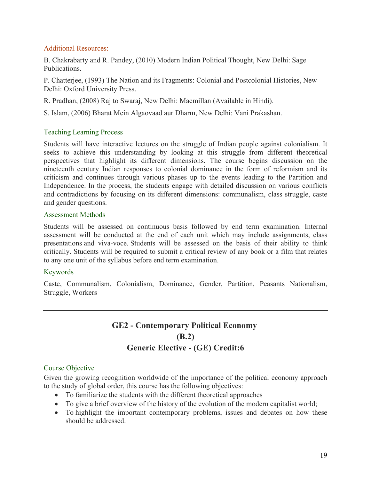### Additional Resources:

B. Chakrabarty and R. Pandey, (2010) Modern Indian Political Thought, New Delhi: Sage Publications.

P. Chatterjee, (1993) The Nation and its Fragments: Colonial and Postcolonial Histories, New Delhi: Oxford University Press.

R. Pradhan, (2008) Raj to Swaraj, New Delhi: Macmillan (Available in Hindi).

S. Islam, (2006) Bharat Mein Algaovaad aur Dharm, New Delhi: Vani Prakashan.

# Teaching Learning Process

Students will have interactive lectures on the struggle of Indian people against colonialism. It seeks to achieve this understanding by looking at this struggle from different theoretical perspectives that highlight its different dimensions. The course begins discussion on the nineteenth century Indian responses to colonial dominance in the form of reformism and its criticism and continues through various phases up to the events leading to the Partition and Independence. In the process, the students engage with detailed discussion on various conflicts and contradictions by focusing on its different dimensions: communalism, class struggle, caste and gender questions.

#### Assessment Methods

Students will be assessed on continuous basis followed by end term examination. Internal assessment will be conducted at the end of each unit which may include assignments, class presentations and viva-voce. Students will be assessed on the basis of their ability to think critically. Students will be required to submit a critical review of any book or a film that relates to any one unit of the syllabus before end term examination.

### Keywords

Caste, Communalism, Colonialism, Dominance, Gender, Partition, Peasants Nationalism, Struggle, Workers

# **GE2 - Contemporary Political Economy (B.2) Generic Elective - (GE) Credit:6**

### Course Objective

Given the growing recognition worldwide of the importance of the political economy approach to the study of global order, this course has the following objectives:

- To familiarize the students with the different theoretical approaches
- To give a brief overview of the history of the evolution of the modern capitalist world;
- To highlight the important contemporary problems, issues and debates on how these should be addressed.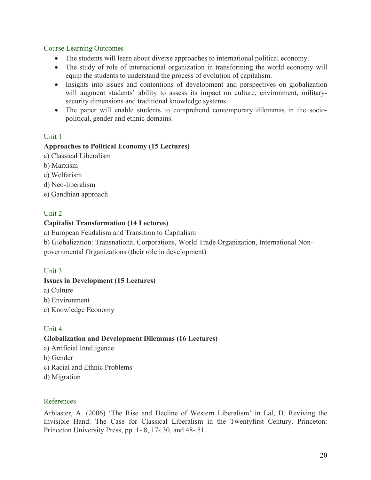#### Course Learning Outcomes

- The students will learn about diverse approaches to international political economy.
- The study of role of international organization in transforming the world economy will equip the students to understand the process of evolution of capitalism.
- Insights into issues and contentions of development and perspectives on globalization will augment students' ability to assess its impact on culture, environment, militarysecurity dimensions and traditional knowledge systems.
- The paper will enable students to comprehend contemporary dilemmas in the sociopolitical, gender and ethnic domains.

# Unit 1

### **Approaches to Political Economy (15 Lectures)**

- a) Classical Liberalism
- b) Marxism
- c) Welfarism
- d) Neo-liberalism
- e) Gandhian approach

### Unit 2

### **Capitalist Transformation (14 Lectures)**

a) European Feudalism and Transition to Capitalism

b) Globalization: Transnational Corporations, World Trade Organization, International Non-

governmental Organizations (their role in development)

### Unit 3

### **Issues in Development (15 Lectures)**

- a) Culture
- b) Environment
- c) Knowledge Economy

### Unit 4

### **Globalization and Development Dilemmas (16 Lectures)**

- a) Artificial Intelligence
- b) Gender
- c) Racial and Ethnic Problems
- d) Migration

#### References

Arblaster, A. (2006) 'The Rise and Decline of Western Liberalism' in Lal, D. Reviving the Invisible Hand: The Case for Classical Liberalism in the Twentyfirst Century. Princeton: Princeton University Press, pp. 1- 8, 17- 30, and 48- 51.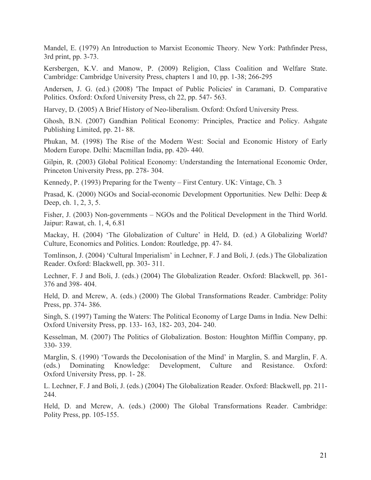Mandel, E. (1979) An Introduction to Marxist Economic Theory. New York: Pathfinder Press, 3rd print, pp. 3-73.

Kersbergen, K.V. and Manow, P. (2009) Religion, Class Coalition and Welfare State. Cambridge: Cambridge University Press, chapters 1 and 10, pp. 1-38; 266-295

Andersen, J. G. (ed.) (2008) 'The Impact of Public Policies' in Caramani, D. Comparative Politics. Oxford: Oxford University Press, ch 22, pp. 547- 563.

Harvey, D. (2005) A Brief History of Neo-liberalism. Oxford: Oxford University Press.

Ghosh, B.N. (2007) Gandhian Political Economy: Principles, Practice and Policy. Ashgate Publishing Limited, pp. 21- 88.

Phukan, M. (1998) The Rise of the Modern West: Social and Economic History of Early Modern Europe. Delhi: Macmillan India, pp. 420- 440.

Gilpin, R. (2003) Global Political Economy: Understanding the International Economic Order, Princeton University Press, pp. 278- 304.

Kennedy, P. (1993) Preparing for the Twenty – First Century. UK: Vintage, Ch. 3

Prasad, K. (2000) NGOs and Social-economic Development Opportunities. New Delhi: Deep & Deep, ch. 1, 2, 3, 5.

Fisher, J. (2003) Non-governments – NGOs and the Political Development in the Third World. Jaipur: Rawat, ch. 1, 4, 6.81

Mackay, H. (2004) 'The Globalization of Culture' in Held, D. (ed.) A Globalizing World? Culture, Economics and Politics. London: Routledge, pp. 47- 84.

Tomlinson, J. (2004) 'Cultural Imperialism' in Lechner, F. J and Boli, J. (eds.) The Globalization Reader. Oxford: Blackwell, pp. 303- 311.

Lechner, F. J and Boli, J. (eds.) (2004) The Globalization Reader. Oxford: Blackwell, pp. 361- 376 and 398- 404.

Held, D. and Mcrew, A. (eds.) (2000) The Global Transformations Reader. Cambridge: Polity Press, pp. 374- 386.

Singh, S. (1997) Taming the Waters: The Political Economy of Large Dams in India. New Delhi: Oxford University Press, pp. 133- 163, 182- 203, 204- 240.

Kesselman, M. (2007) The Politics of Globalization. Boston: Houghton Mifflin Company, pp. 330- 339.

Marglin, S. (1990) 'Towards the Decolonisation of the Mind' in Marglin, S. and Marglin, F. A. (eds.) Dominating Knowledge: Development, Culture and Resistance. Oxford: Oxford University Press, pp. 1- 28.

L. Lechner, F. J and Boli, J. (eds.) (2004) The Globalization Reader. Oxford: Blackwell, pp. 211- 244.

Held, D. and Mcrew, A. (eds.) (2000) The Global Transformations Reader. Cambridge: Polity Press, pp. 105-155.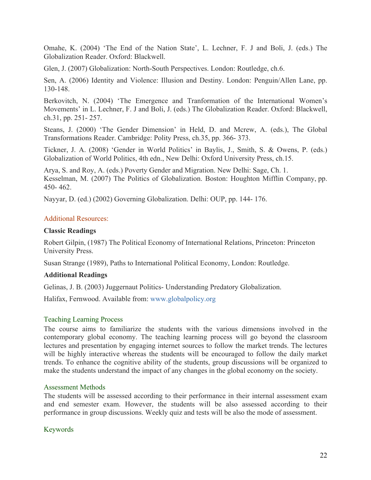Omahe, K. (2004) 'The End of the Nation State', L. Lechner, F. J and Boli, J. (eds.) The Globalization Reader. Oxford: Blackwell.

Glen, J. (2007) Globalization: North-South Perspectives. London: Routledge, ch.6.

Sen, A. (2006) Identity and Violence: Illusion and Destiny. London: Penguin/Allen Lane, pp. 130-148.

Berkovitch, N. (2004) 'The Emergence and Tranformation of the International Women's Movements' in L. Lechner, F. J and Boli, J. (eds.) The Globalization Reader. Oxford: Blackwell, ch.31, pp. 251- 257.

Steans, J. (2000) 'The Gender Dimension' in Held, D. and Mcrew, A. (eds.), The Global Transformations Reader. Cambridge: Polity Press, ch.35, pp. 366- 373.

Tickner, J. A. (2008) 'Gender in World Politics' in Baylis, J., Smith, S. & Owens, P. (eds.) Globalization of World Politics, 4th edn., New Delhi: Oxford University Press, ch.15.

Arya, S. and Roy, A. (eds.) Poverty Gender and Migration. New Delhi: Sage, Ch. 1. Kesselman, M. (2007) The Politics of Globalization. Boston: Houghton Mifflin Company, pp. 450- 462.

Nayyar, D. (ed.) (2002) Governing Globalization. Delhi: OUP, pp. 144- 176.

#### Additional Resources:

#### **Classic Readings**

Robert Gilpin, (1987) The Political Economy of International Relations, Princeton: Princeton University Press.

Susan Strange (1989), Paths to International Political Economy, London: Routledge.

#### **Additional Readings**

Gelinas, J. B. (2003) Juggernaut Politics- Understanding Predatory Globalization.

Halifax, Fernwood. Available from: www.globalpolicy.org

#### Teaching Learning Process

The course aims to familiarize the students with the various dimensions involved in the contemporary global economy. The teaching learning process will go beyond the classroom lectures and presentation by engaging internet sources to follow the market trends. The lectures will be highly interactive whereas the students will be encouraged to follow the daily market trends. To enhance the cognitive ability of the students, group discussions will be organized to make the students understand the impact of any changes in the global economy on the society.

#### Assessment Methods

The students will be assessed according to their performance in their internal assessment exam and end semester exam. However, the students will be also assessed according to their performance in group discussions. Weekly quiz and tests will be also the mode of assessment.

#### Keywords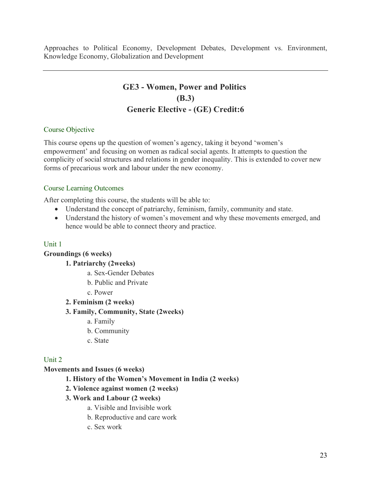Approaches to Political Economy, Development Debates, Development vs. Environment, Knowledge Economy, Globalization and Development

# **GE3 - Women, Power and Politics (B.3) Generic Elective - (GE) Credit:6**

#### Course Objective

This course opens up the question of women's agency, taking it beyond 'women's empowerment' and focusing on women as radical social agents. It attempts to question the complicity of social structures and relations in gender inequality. This is extended to cover new forms of precarious work and labour under the new economy.

#### Course Learning Outcomes

After completing this course, the students will be able to:

- Understand the concept of patriarchy, feminism, family, community and state.
- Understand the history of women's movement and why these movements emerged, and hence would be able to connect theory and practice.

### Unit 1

#### **Groundings (6 weeks)**

**1. Patriarchy (2weeks)**

- a. Sex-Gender Debates
- b. Public and Private
- c. Power
- **2. Feminism (2 weeks)**

#### **3. Family, Community, State (2weeks)**

- a. Family
- b. Community
- c. State

### Unit 2

### **Movements and Issues (6 weeks)**

- **1. History of the Women's Movement in India (2 weeks)**
- **2. Violence against women (2 weeks)**
- **3. Work and Labour (2 weeks)**
	- a. Visible and Invisible work
	- b. Reproductive and care work
	- c. Sex work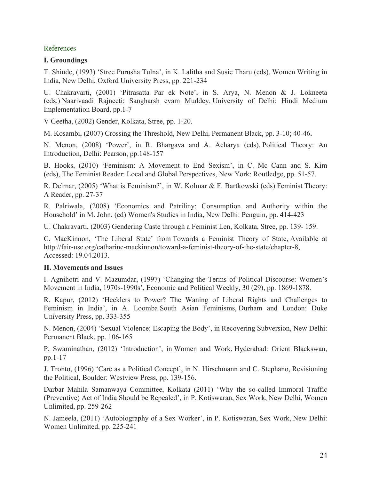### References

#### **I. Groundings**

T. Shinde, (1993) 'Stree Purusha Tulna', in K. Lalitha and Susie Tharu (eds), Women Writing in India, New Delhi, Oxford University Press, pp. 221-234

U. Chakravarti, (2001) 'Pitrasatta Par ek Note', in S. Arya, N. Menon & J. Lokneeta (eds.) Naarivaadi Rajneeti: Sangharsh evam Muddey, University of Delhi: Hindi Medium Implementation Board, pp.1-7

V Geetha, (2002) Gender, Kolkata, Stree, pp. 1-20.

M. Kosambi, (2007) Crossing the Threshold, New Delhi, Permanent Black, pp. 3-10; 40-46**.**

N. Menon, (2008) 'Power', in R. Bhargava and A. Acharya (eds), Political Theory: An Introduction, Delhi: Pearson, pp.148-157

B. Hooks, (2010) 'Feminism: A Movement to End Sexism', in C. Mc Cann and S. Kim (eds), The Feminist Reader: Local and Global Perspectives, New York: Routledge, pp. 51-57.

R. Delmar, (2005) 'What is Feminism?', in W. Kolmar & F. Bartkowski (eds) Feminist Theory: A Reader, pp. 27-37

R. Palriwala, (2008) 'Economics and Patriliny: Consumption and Authority within the Household' in M. John. (ed) Women's Studies in India, New Delhi: Penguin, pp. 414-423

U. Chakravarti, (2003) Gendering Caste through a Feminist Len, Kolkata, Stree, pp. 139- 159.

C. MacKinnon, 'The Liberal State' from Towards a Feminist Theory of State, Available at http://fair-use.org/catharine-mackinnon/toward-a-feminist-theory-of-the-state/chapter-8, Accessed: 19.04.2013.

#### **II. Movements and Issues**

I. Agnihotri and V. Mazumdar, (1997) 'Changing the Terms of Political Discourse: Women's Movement in India, 1970s-1990s', Economic and Political Weekly, 30 (29), pp. 1869-1878.

R. Kapur, (2012) 'Hecklers to Power? The Waning of Liberal Rights and Challenges to Feminism in India', in A. Loomba South Asian Feminisms, Durham and London: Duke University Press, pp. 333-355

N. Menon, (2004) 'Sexual Violence: Escaping the Body', in Recovering Subversion, New Delhi: Permanent Black, pp. 106-165

P. Swaminathan, (2012) 'Introduction', in Women and Work, Hyderabad: Orient Blackswan, pp.1-17

J. Tronto, (1996) 'Care as a Political Concept', in N. Hirschmann and C. Stephano, Revisioning the Political, Boulder: Westview Press, pp. 139-156.

Darbar Mahila Samanwaya Committee, Kolkata (2011) 'Why the so-called Immoral Traffic (Preventive) Act of India Should be Repealed', in P. Kotiswaran, Sex Work, New Delhi, Women Unlimited, pp. 259-262

N. Jameela, (2011) 'Autobiography of a Sex Worker', in P. Kotiswaran, Sex Work, New Delhi: Women Unlimited, pp. 225-241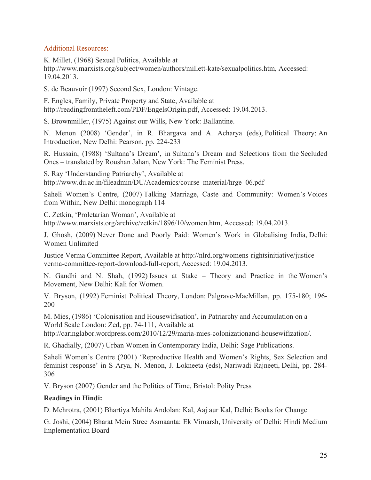### Additional Resources:

K. Millet, (1968) Sexual Politics, Available at http://www.marxists.org/subject/women/authors/millett-kate/sexualpolitics.htm, Accessed: 19.04.2013.

S. de Beauvoir (1997) Second Sex, London: Vintage.

F. Engles, Family, Private Property and State, Available at http://readingfromtheleft.com/PDF/EngelsOrigin.pdf, Accessed: 19.04.2013.

S. Brownmiller, (1975) Against our Wills, New York: Ballantine.

N. Menon (2008) 'Gender', in R. Bhargava and A. Acharya (eds), Political Theory: An Introduction, New Delhi: Pearson, pp. 224-233

R. Hussain, (1988) 'Sultana's Dream', in Sultana's Dream and Selections from the Secluded Ones – translated by Roushan Jahan, New York: The Feminist Press.

S. Ray 'Understanding Patriarchy', Available at http://www.du.ac.in/fileadmin/DU/Academics/course\_material/hrge\_06.pdf

Saheli Women's Centre, (2007) Talking Marriage, Caste and Community: Women's Voices from Within, New Delhi: monograph 114

C. Zetkin, 'Proletarian Woman', Available at http://www.marxists.org/archive/zetkin/1896/10/women.htm, Accessed: 19.04.2013.

J. Ghosh, (2009) Never Done and Poorly Paid: Women's Work in Globalising India, Delhi: Women Unlimited

Justice Verma Committee Report, Available at http://nlrd.org/womens-rightsinitiative/justiceverma-committee-report-download-full-report, Accessed: 19.04.2013.

N. Gandhi and N. Shah, (1992) Issues at Stake – Theory and Practice in the Women's Movement, New Delhi: Kali for Women.

V. Bryson, (1992) Feminist Political Theory, London: Palgrave-MacMillan, pp. 175-180; 196- 200

M. Mies, (1986) 'Colonisation and Housewifisation', in Patriarchy and Accumulation on a World Scale London: Zed, pp. 74-111, Available at

http://caringlabor.wordpress.com/2010/12/29/maria-mies-colonizationand-housewifization/.

R. Ghadially, (2007) Urban Women in Contemporary India, Delhi: Sage Publications.

Saheli Women's Centre (2001) 'Reproductive Health and Women's Rights, Sex Selection and feminist response' in S Arya, N. Menon, J. Lokneeta (eds), Nariwadi Rajneeti, Delhi, pp. 284- 306

V. Bryson (2007) Gender and the Politics of Time, Bristol: Polity Press

### **Readings in Hindi:**

D. Mehrotra, (2001) Bhartiya Mahila Andolan: Kal, Aaj aur Kal, Delhi: Books for Change

G. Joshi, (2004) Bharat Mein Stree Asmaanta: Ek Vimarsh, University of Delhi: Hindi Medium Implementation Board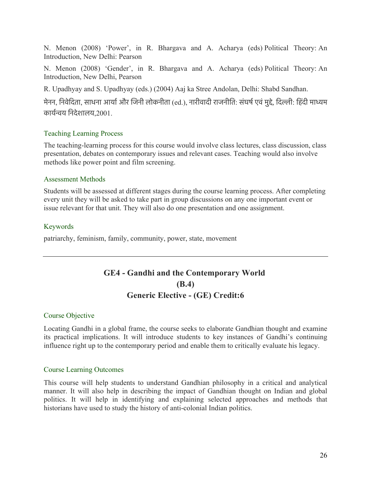N. Menon (2008) 'Power', in R. Bhargava and A. Acharya (eds) Political Theory: An Introduction, New Delhi: Pearson

N. Menon (2008) 'Gender', in R. Bhargava and A. Acharya (eds) Political Theory: An Introduction, New Delhi, Pearson

R. Upadhyay and S. Upadhyay (eds.) (2004) Aaj ka Stree Andolan, Delhi: Shabd Sandhan.

मेनन, निवेदिता, साधना आर्या और जिनी लोकनीता (ed.), नारीवादी राजनीति: संघर्ष एवं मुद्दे, दिल्ली: हिंदी माध्यम कायरनय िनदेशालय,2001.

# Teaching Learning Process

The teaching-learning process for this course would involve class lectures, class discussion, class presentation, debates on contemporary issues and relevant cases. Teaching would also involve methods like power point and film screening.

### Assessment Methods

Students will be assessed at different stages during the course learning process. After completing every unit they will be asked to take part in group discussions on any one important event or issue relevant for that unit. They will also do one presentation and one assignment.

# Keywords

patriarchy, feminism, family, community, power, state, movement

# **GE4 - Gandhi and the Contemporary World (B.4) Generic Elective - (GE) Credit:6**

### Course Objective

Locating Gandhi in a global frame, the course seeks to elaborate Gandhian thought and examine its practical implications. It will introduce students to key instances of Gandhi's continuing influence right up to the contemporary period and enable them to critically evaluate his legacy.

#### Course Learning Outcomes

This course will help students to understand Gandhian philosophy in a critical and analytical manner. It will also help in describing the impact of Gandhian thought on Indian and global politics. It will help in identifying and explaining selected approaches and methods that historians have used to study the history of anti-colonial Indian politics.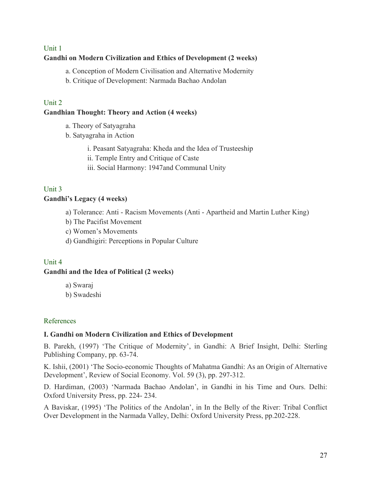# Unit 1 **Gandhi on Modern Civilization and Ethics of Development (2 weeks)**

a. Conception of Modern Civilisation and Alternative Modernity

b. Critique of Development: Narmada Bachao Andolan

# Unit 2

# **Gandhian Thought: Theory and Action (4 weeks)**

- a. Theory of Satyagraha
- b. Satyagraha in Action
	- i. Peasant Satyagraha: Kheda and the Idea of Trusteeship
	- ii. Temple Entry and Critique of Caste
	- iii. Social Harmony: 1947and Communal Unity

# Unit 3

# **Gandhi's Legacy (4 weeks)**

- a) Tolerance: Anti Racism Movements (Anti Apartheid and Martin Luther King)
- b) The Pacifist Movement
- c) Women's Movements
- d) Gandhigiri: Perceptions in Popular Culture

# Unit 4

### **Gandhi and the Idea of Political (2 weeks)**

- a) Swaraj
- b) Swadeshi

### References

# **I. Gandhi on Modern Civilization and Ethics of Development**

B. Parekh, (1997) 'The Critique of Modernity', in Gandhi: A Brief Insight, Delhi: Sterling Publishing Company, pp. 63-74.

K. Ishii, (2001) 'The Socio-economic Thoughts of Mahatma Gandhi: As an Origin of Alternative Development', Review of Social Economy. Vol. 59 (3), pp. 297-312.

D. Hardiman, (2003) 'Narmada Bachao Andolan', in Gandhi in his Time and Ours. Delhi: Oxford University Press, pp. 224- 234.

A Baviskar, (1995) 'The Politics of the Andolan', in In the Belly of the River: Tribal Conflict Over Development in the Narmada Valley, Delhi: Oxford University Press, pp.202-228.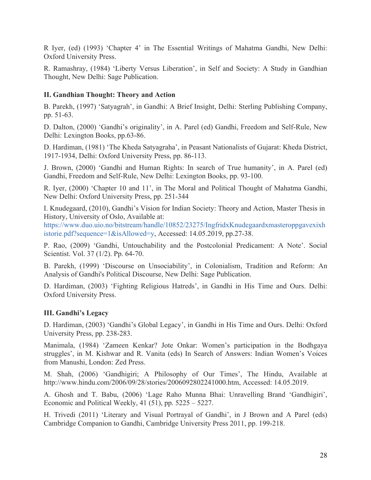R Iyer, (ed) (1993) 'Chapter 4' in The Essential Writings of Mahatma Gandhi, New Delhi: Oxford University Press.

R. Ramashray, (1984) 'Liberty Versus Liberation', in Self and Society: A Study in Gandhian Thought, New Delhi: Sage Publication.

#### **II. Gandhian Thought: Theory and Action**

B. Parekh, (1997) 'Satyagrah', in Gandhi: A Brief Insight, Delhi: Sterling Publishing Company, pp. 51-63.

D. Dalton, (2000) 'Gandhi's originality', in A. Parel (ed) Gandhi, Freedom and Self-Rule, New Delhi: Lexington Books, pp.63-86.

D. Hardiman, (1981) 'The Kheda Satyagraha', in Peasant Nationalists of Gujarat: Kheda District, 1917-1934, Delhi: Oxford University Press, pp. 86-113.

J. Brown, (2000) 'Gandhi and Human Rights: In search of True humanity', in A. Parel (ed) Gandhi, Freedom and Self-Rule, New Delhi: Lexington Books, pp. 93-100.

R. Iyer, (2000) 'Chapter 10 and 11', in The Moral and Political Thought of Mahatma Gandhi, New Delhi: Oxford University Press, pp. 251-344

I. Knudegaard, (2010), Gandhi's Vision for Indian Society: Theory and Action, Master Thesis in History, University of Oslo, Available at:

https://www.duo.uio.no/bitstream/handle/10852/23275/IngfridxKnudegaardxmasteroppgavexixh istorie.pdf?sequence=1&isAllowed=y, Accessed: 14.05.2019, pp.27-38.

P. Rao, (2009) 'Gandhi, Untouchability and the Postcolonial Predicament: A Note'. Social Scientist. Vol. 37 (1/2). Pp. 64-70.

B. Parekh, (1999) 'Discourse on Unsociability', in Colonialism, Tradition and Reform: An Analysis of Gandhi's Political Discourse, New Delhi: Sage Publication.

D. Hardiman, (2003) 'Fighting Religious Hatreds', in Gandhi in His Time and Ours. Delhi: Oxford University Press.

### **III. Gandhi's Legacy**

D. Hardiman, (2003) 'Gandhi's Global Legacy', in Gandhi in His Time and Ours. Delhi: Oxford University Press, pp. 238-283.

Manimala, (1984) 'Zameen Kenkar? Jote Onkar: Women's participation in the Bodhgaya struggles', in M. Kishwar and R. Vanita (eds) In Search of Answers: Indian Women's Voices from Manushi, London: Zed Press.

M. Shah, (2006) 'Gandhigiri; A Philosophy of Our Times', The Hindu, Available at http://www.hindu.com/2006/09/28/stories/2006092802241000.htm, Accessed: 14.05.2019.

A. Ghosh and T. Babu, (2006) 'Lage Raho Munna Bhai: Unravelling Brand 'Gandhigiri', Economic and Political Weekly, 41 (51), pp. 5225 – 5227.

H. Trivedi (2011) 'Literary and Visual Portrayal of Gandhi', in J Brown and A Parel (eds) Cambridge Companion to Gandhi, Cambridge University Press 2011, pp. 199-218.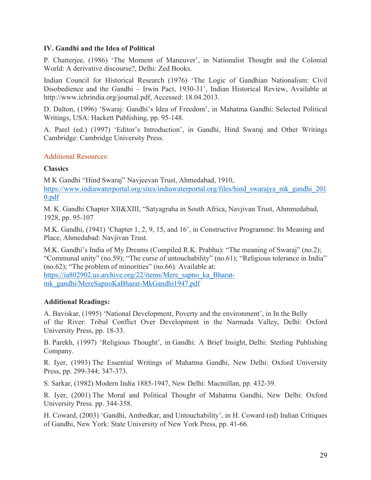### **IV. Gandhi and the Idea of Political**

P. Chatterjee, (1986) 'The Moment of Maneuver', in Nationalist Thought and the Colonial World: A derivative discourse?, Delhi: Zed Books.

Indian Council for Historical Research (1976) 'The Logic of Gandhian Nationalism: Civil Disobedience and the Gandhi – Irwin Pact, 1930-31', Indian Historical Review, Available at http://www.ichrindia.org/journal.pdf, Accessed: 18.04.2013.

D. Dalton, (1996) 'Swaraj: Gandhi's Idea of Freedom', in Mahatma Gandhi: Selected Political Writings, USA: Hackett Publishing, pp. 95-148.

A. Parel (ed.) (1997) 'Editor's Introduction', in Gandhi, Hind Swaraj and Other Writings Cambridge: Cambridge University Press.

# Additional Resources:

# **Classics**

M K Gandhi "Hind Swaraj" Navjeevan Trust, Ahmedabad, 1910, https://www.indiawaterportal.org/sites/indiawaterportal.org/files/hind\_swarajya\_mk\_gandhi\_201 0.pdf

M. K. Gandhi Chapter XII&XIII, "Satyagraha in South Africa, Navjivan Trust, Ahmmedabad, 1928, pp. 95-107

M.K. Gandhi, (1941) 'Chapter 1, 2, 9, 15, and 16', in Constructive Programme: Its Meaning and Place, Ahmedabad: Navjivan Trust.

M.K. Gandhi's India of My Dreams (Compiled R.K. Prabhu): "The meaning of Swaraj" (no.2); "Communal unity" (no.59); "The curse of untouchability" (no.61); "Religious tolerance in India" (no.62); "The problem of minorities" (no.66). Available at:

https://ia802902.us.archive.org/22/items/Mere\_sapno\_ka\_Bharatmk\_gandhi/MereSapnoKaBharat-MkGandhi1947.pdf

# **Additional Readings:**

A. Baviskar, (1995) 'National Development, Poverty and the environment', in In the Belly of the River: Tribal Conflict Over Development in the Narmada Valley, Delhi: Oxford University Press, pp. 18-33.

B. Parekh, (1997) 'Religious Thought', in Gandhi: A Brief Insight, Delhi: Sterling Publishing Company.

R. Iyer, (1993) The Essential Writings of Mahatma Gandhi, New Delhi: Oxford University Press, pp. 299-344; 347-373.

S. Sarkar, (1982) Modern India 1885-1947, New Delhi: Macmillan, pp. 432-39.

R. Iyer, (2001) The Moral and Political Thought of Mahatma Gandhi, New Delhi: Oxford University Press. pp. 344-358.

H. Coward, (2003) 'Gandhi, Ambedkar, and Untouchability', in H. Coward (ed) Indian Critiques of Gandhi, New York: State University of New York Press, pp. 41-66.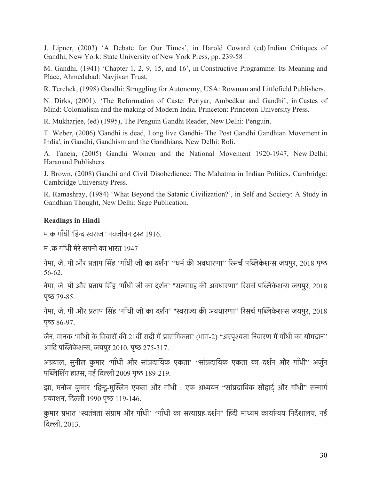J. Lipner, (2003) 'A Debate for Our Times', in Harold Coward (ed) Indian Critiques of Gandhi, New York: State University of New York Press, pp. 239-58

M. Gandhi, (1941) 'Chapter 1, 2, 9, 15, and 16', in Constructive Programme: Its Meaning and Place, Ahmedabad: Navjivan Trust.

R. Terchek, (1998) Gandhi: Struggling for Autonomy, USA: Rowman and Littlefield Publishers.

N. Dirks, (2001), 'The Reformation of Caste: Periyar, Ambedkar and Gandhi', in Castes of Mind: Colonialism and the making of Modern India, Princeton: Princeton University Press.

R. Mukharjee, (ed) (1995), The Penguin Gandhi Reader, New Delhi: Penguin.

T. Weber, (2006) 'Gandhi is dead, Long live Gandhi- The Post Gandhi Gandhian Movement in India', in Gandhi, Gandhism and the Gandhians, New Delhi: Roli.

A. Taneja, (2005) Gandhi Women and the National Movement 1920-1947, New Delhi: Haranand Publishers.

J. Brown, (2008) Gandhi and Civil Disobedience: The Mahatma in Indian Politics, Cambridge: Cambridge University Press.

R. Ramashray, (1984) 'What Beyond the Satanic Civilization?', in Self and Society: A Study in Gandhian Thought, New Delhi: Sage Publication.

### **Readings in Hindi**

म.क गाँधी 'हिन्द स्वराज ' नवजीवन टस्ट 1916.

म) क गाँधी मेरे सपनो का भारत 1947

नेमा, जे. पी और प्रताप सिंह 'गाँधी जी का दर्शन' ''धर्म की अवधारणा'' रिसर्च पब्लिकेशन्स जयपुर, 2018 पृष्ठ 56-62.

नेमा, जे. पी और प्रताप सिंह 'गाँधी जी का दर्शन' "सत्याग्रह की अवधारणा" रिसर्च पब्लिकेशन्स जयपुर, 2018  $45 - 79 - 85$ .

नेमा, जे. पी और प्रताप सिंह 'गाँधी जी का दर्शन' "स्वराज्य की अवधारणा" रिसर्च पब्लिकेशन्स जयपुर, 2018 पृष्ठ  $86-97$ .

जैन, मानक 'गाँधी के विचारों की 21वीं सदी में प्रासंगिकता' (भाग-2) "अस्पृश्यता निवारण में गाँधी का योगदान" आदि पब्लिकेशन्स, जयपुर 2010, पृष्ठ 275-317.

अग्रवाल, सुनील कुमार 'गाँधी और सांप्रदायिक एकता' "सांप्रदायिक एकता का दर्शन और गाँधी" अर्जुन पब्लिशिंग हाउस, नई दिल्ली 2009 पृष्ठ 189-219.

झा, मनोज कुमार 'हिन्दू-मुस्लिम एकता और गाँधी : एक अध्ययन ''सांप्रदायिक सौहार्द् और गाँधी'' सन्मार्ग पकाशन, िदली 1990 पृष 119-146.

कुमार प्रभात 'स्वतंत्रता संग्राम और गाँधी' ''गाँधी का सत्याग्रह-दर्शन'' हिंदी माध्यम कार्यान्वय निर्देशालय, नई िदली, 2013.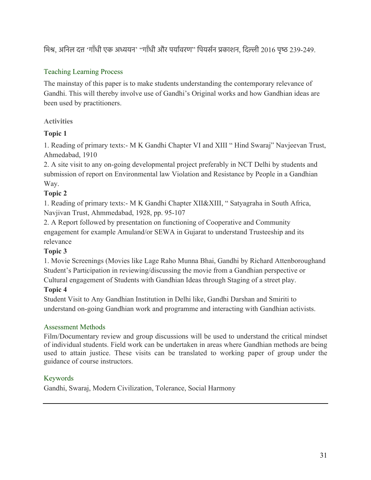मिश्र, अनिल दत्त 'गाँधी एक अध्ययन' "गाँधी और पर्यावरण" पियर्सन प्रकाशन, दिल्ली 2016 पृष्ठ 239-249.

# Teaching Learning Process

The mainstay of this paper is to make students understanding the contemporary relevance of Gandhi. This will thereby involve use of Gandhi's Original works and how Gandhian ideas are been used by practitioners.

# **Activities**

# **Topic 1**

1. Reading of primary texts:- M K Gandhi Chapter VI and XIII " Hind Swaraj" Navjeevan Trust, Ahmedabad, 1910

2. A site visit to any on-going developmental project preferably in NCT Delhi by students and submission of report on Environmental law Violation and Resistance by People in a Gandhian Way.

# **Topic 2**

1. Reading of primary texts:- M K Gandhi Chapter XII&XIII, " Satyagraha in South Africa, Navjivan Trust, Ahmmedabad, 1928, pp. 95-107

2. A Report followed by presentation on functioning of Cooperative and Community engagement for example Amuland/or SEWA in Gujarat to understand Trusteeship and its relevance

# **Topic 3**

1. Movie Screenings (Movies like Lage Raho Munna Bhai, Gandhi by Richard Attenboroughand Student's Participation in reviewing/discussing the movie from a Gandhian perspective or Cultural engagement of Students with Gandhian Ideas through Staging of a street play.

# **Topic 4**

Student Visit to Any Gandhian Institution in Delhi like, Gandhi Darshan and Smiriti to understand on-going Gandhian work and programme and interacting with Gandhian activists.

# Assessment Methods

Film/Documentary review and group discussions will be used to understand the critical mindset of individual students. Field work can be undertaken in areas where Gandhian methods are being used to attain justice. These visits can be translated to working paper of group under the guidance of course instructors.

# Keywords

Gandhi, Swaraj, Modern Civilization, Tolerance, Social Harmony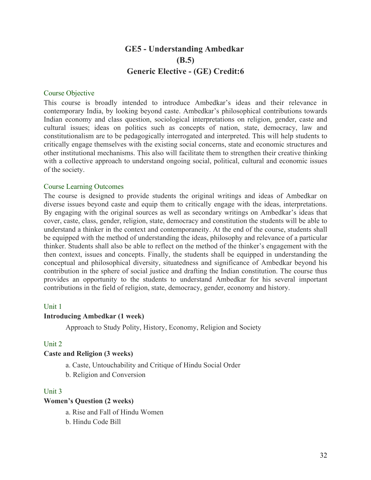# **GE5 - Understanding Ambedkar (B.5) Generic Elective - (GE) Credit:6**

#### Course Objective

This course is broadly intended to introduce Ambedkar's ideas and their relevance in contemporary India, by looking beyond caste. Ambedkar's philosophical contributions towards Indian economy and class question, sociological interpretations on religion, gender, caste and cultural issues; ideas on politics such as concepts of nation, state, democracy, law and constitutionalism are to be pedagogically interrogated and interpreted. This will help students to critically engage themselves with the existing social concerns, state and economic structures and other institutional mechanisms. This also will facilitate them to strengthen their creative thinking with a collective approach to understand ongoing social, political, cultural and economic issues of the society.

#### Course Learning Outcomes

The course is designed to provide students the original writings and ideas of Ambedkar on diverse issues beyond caste and equip them to critically engage with the ideas, interpretations. By engaging with the original sources as well as secondary writings on Ambedkar's ideas that cover, caste, class, gender, religion, state, democracy and constitution the students will be able to understand a thinker in the context and contemporaneity. At the end of the course, students shall be equipped with the method of understanding the ideas, philosophy and relevance of a particular thinker. Students shall also be able to reflect on the method of the thinker's engagement with the then context, issues and concepts. Finally, the students shall be equipped in understanding the conceptual and philosophical diversity, situatedness and significance of Ambedkar beyond his contribution in the sphere of social justice and drafting the Indian constitution. The course thus provides an opportunity to the students to understand Ambedkar for his several important contributions in the field of religion, state, democracy, gender, economy and history.

#### Unit 1

#### **Introducing Ambedkar (1 week)**

Approach to Study Polity, History, Economy, Religion and Society

#### Unit 2

#### **Caste and Religion (3 weeks)**

- a. Caste, Untouchability and Critique of Hindu Social Order
- b. Religion and Conversion

#### Unit 3

#### **Women's Question (2 weeks)**

- a. Rise and Fall of Hindu Women
- b. Hindu Code Bill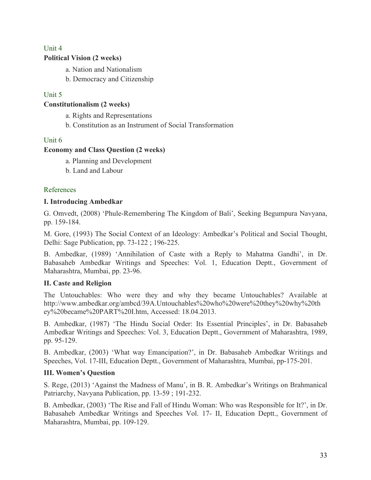# Unit 4

### **Political Vision (2 weeks)**

- a. Nation and Nationalism
- b. Democracy and Citizenship

# Unit 5

### **Constitutionalism (2 weeks)**

a. Rights and Representations

b. Constitution as an Instrument of Social Transformation

# Unit 6

### **Economy and Class Question (2 weeks)**

- a. Planning and Development
- b. Land and Labour

# References

# **I. Introducing Ambedkar**

G. Omvedt, (2008) 'Phule-Remembering The Kingdom of Bali', Seeking Begumpura Navyana, pp. 159-184.

M. Gore, (1993) The Social Context of an Ideology: Ambedkar's Political and Social Thought, Delhi: Sage Publication, pp. 73-122 ; 196-225.

B. Ambedkar, (1989) 'Annihilation of Caste with a Reply to Mahatma Gandhi', in Dr. Babasaheb Ambedkar Writings and Speeches: Vol. 1, Education Deptt., Government of Maharashtra, Mumbai, pp. 23-96.

# **II. Caste and Religion**

The Untouchables: Who were they and why they became Untouchables? Available at http://www.ambedkar.org/ambcd/39A.Untouchables%20who%20were%20they%20why%20th ey%20became%20PART%20I.htm, Accessed: 18.04.2013.

B. Ambedkar, (1987) 'The Hindu Social Order: Its Essential Principles', in Dr. Babasaheb Ambedkar Writings and Speeches: Vol. 3, Education Deptt., Government of Maharashtra, 1989, pp. 95-129.

B. Ambedkar, (2003) 'What way Emancipation?', in Dr. Babasaheb Ambedkar Writings and Speeches, Vol. 17-III, Education Deptt., Government of Maharashtra, Mumbai, pp-175-201.

# **III. Women's Question**

S. Rege, (2013) 'Against the Madness of Manu', in B. R. Ambedkar's Writings on Brahmanical Patriarchy, Navyana Publication, pp. 13-59 ; 191-232.

B. Ambedkar, (2003) 'The Rise and Fall of Hindu Woman: Who was Responsible for It?', in Dr. Babasaheb Ambedkar Writings and Speeches Vol. 17- II, Education Deptt., Government of Maharashtra, Mumbai, pp. 109-129.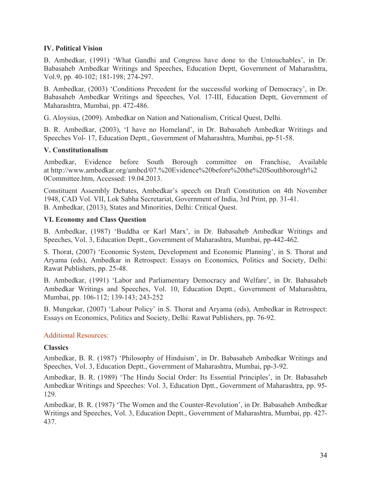#### **IV. Political Vision**

B. Ambedkar, (1991) 'What Gandhi and Congress have done to the Untouchables', in Dr. Babasaheb Ambedkar Writings and Speeches, Education Deptt, Government of Maharashtra, Vol.9, pp. 40-102; 181-198; 274-297.

B. Ambedkar, (2003) 'Conditions Precedent for the successful working of Democracy', in Dr. Babasaheb Ambedkar Writings and Speeches, Vol. 17-III, Education Deptt, Government of Maharashtra, Mumbai, pp. 472-486.

G. Aloysius, (2009). Ambedkar on Nation and Nationalism, Critical Quest, Delhi.

B. R. Ambedkar, (2003), 'I have no Homeland', in Dr. Babasaheb Ambedkar Writings and Speeches Vol- 17, Education Deptt., Government of Maharashtra, Mumbai, pp-51-58.

#### **V. Constitutionalism**

Ambedkar, Evidence before South Borough committee on Franchise, Available at http://www.ambedkar.org/ambcd/07.%20Evidence%20before%20the%20Southborough%2 0Committee.htm, Accessed: 19.04.2013.

Constituent Assembly Debates, Ambedkar's speech on Draft Constitution on 4th November 1948, CAD Vol. VII, Lok Sabha Secretariat, Government of India, 3rd Print, pp. 31-41. B. Ambedkar, (2013), States and Minorities, Delhi: Critical Quest.

#### **VI. Economy and Class Question**

B. Ambedkar, (1987) 'Buddha or Karl Marx', in Dr. Babasaheb Ambedkar Writings and Speeches, Vol. 3, Education Deptt., Government of Maharashtra, Mumbai, pp-442-462.

S. Thorat, (2007) 'Economic System, Development and Economic Planning', in S. Thorat and Aryama (eds), Ambedkar in Retrospect: Essays on Economics, Politics and Society, Delhi: Rawat Publishers, pp. 25-48.

B. Ambedkar, (1991) 'Labor and Parliamentary Democracy and Welfare', in Dr. Babasaheb Ambedkar Writings and Speeches, Vol. 10, Education Deptt., Government of Maharashtra, Mumbai, pp. 106-112; 139-143; 243-252

B. Mungekar, (2007) 'Labour Policy' in S. Thorat and Aryama (eds), Ambedkar in Retrospect: Essays on Economics, Politics and Society, Delhi: Rawat Publishers, pp. 76-92.

### Additional Resources:

#### **Classics**

Ambedkar, B. R. (1987) 'Philosophy of Hinduism', in Dr. Babasaheb Ambedkar Writings and Speeches, Vol. 3, Education Deptt., Government of Maharashtra, Mumbai, pp-3-92.

Ambedkar, B. R. (1989) 'The Hindu Social Order: Its Essential Principles', in Dr. Babasaheb Ambedkar Writings and Speeches: Vol. 3, Education Dptt., Government of Maharashtra, pp. 95- 129.

Ambedkar, B. R. (1987) 'The Women and the Counter-Revolution', in Dr. Babasaheb Ambedkar Writings and Speeches, Vol. 3, Education Deptt., Government of Maharashtra, Mumbai, pp. 427- 437.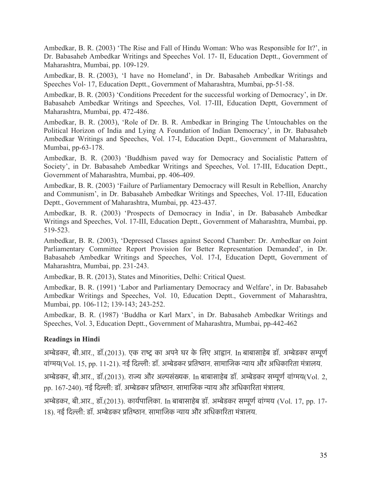Ambedkar, B. R. (2003) 'The Rise and Fall of Hindu Woman: Who was Responsible for It?', in Dr. Babasaheb Ambedkar Writings and Speeches Vol. 17- II, Education Deptt., Government of Maharashtra, Mumbai, pp. 109-129.

Ambedkar, B. R. (2003), 'I have no Homeland', in Dr. Babasaheb Ambedkar Writings and Speeches Vol- 17, Education Deptt., Government of Maharashtra, Mumbai, pp-51-58.

Ambedkar, B. R. (2003) 'Conditions Precedent for the successful working of Democracy', in Dr. Babasaheb Ambedkar Writings and Speeches, Vol. 17-III, Education Deptt, Government of Maharashtra, Mumbai, pp. 472-486.

Ambedkar, B. R. (2003), 'Role of Dr. B. R. Ambedkar in Bringing The Untouchables on the Political Horizon of India and Lying A Foundation of Indian Democracy', in Dr. Babasaheb Ambedkar Writings and Speeches, Vol. 17-I, Education Deptt., Government of Maharashtra, Mumbai, pp-63-178.

Ambedkar, B. R. (2003) 'Buddhism paved way for Democracy and Socialistic Pattern of Society', in Dr. Babasaheb Ambedkar Writings and Speeches, Vol. 17-III, Education Deptt., Government of Maharashtra, Mumbai, pp. 406-409.

Ambedkar, B. R. (2003) 'Failure of Parliamentary Democracy will Result in Rebellion, Anarchy and Communism', in Dr. Babasaheb Ambedkar Writings and Speeches, Vol. 17-III, Education Deptt., Government of Maharashtra, Mumbai, pp. 423-437.

Ambedkar, B. R. (2003) 'Prospects of Democracy in India', in Dr. Babasaheb Ambedkar Writings and Speeches, Vol. 17-III, Education Deptt., Government of Maharashtra, Mumbai, pp. 519-523.

Ambedkar, B. R. (2003), 'Depressed Classes against Second Chamber: Dr. Ambedkar on Joint Parliamentary Committee Report Provision for Better Representation Demanded', in Dr. Babasaheb Ambedkar Writings and Speeches, Vol. 17-I, Education Deptt, Government of Maharashtra, Mumbai, pp. 231-243.

Ambedkar, B. R. (2013), States and Minorities, Delhi: Critical Quest.

Ambedkar, B. R. (1991) 'Labor and Parliamentary Democracy and Welfare', in Dr. Babasaheb Ambedkar Writings and Speeches, Vol. 10, Education Deptt., Government of Maharashtra, Mumbai, pp. 106-112; 139-143; 243-252.

Ambedkar, B. R. (1987) 'Buddha or Karl Marx', in Dr. Babasaheb Ambedkar Writings and Speeches, Vol. 3, Education Deptt., Government of Maharashtra, Mumbai, pp-442-462

# **Readings in Hindi**

अम्बेडकर, बी.आर., डॉ.(2013). एक राष्ट्र का अपने घर के लिए आह्वान. In बाबासाहेब डॉ. अम्बेडकर सम्पूर्ण वांगय(Vol. 15, pp. 11-21). नई िदली: डॉ. अमेडकर पितषान. सामािजक नाय और अिधकािरता मंतालय.

अम्बेडकर, बी.आर., डॉ.(2013). राज्य और अल्पसंख्यक. In बाबासाहेब डॉ. अम्बेडकर सम्पूर्ण वांग्मय(Vol. 2, pp. 167-240). नई दिल्ली: डॉ. अम्बेडकर प्रतिष्ठान. सामाजिक न्याय और अधिकारिता मंत्रालय.

अमेडकर, बी.आर., डॉ.(2013). कायरपािलका. In बाबासाहेब डॉ. अमेडकर समूणरवांगय (Vol. 17, pp. 17- 18). नई दिल्ली: डॉ. अम्बेडकर प्रतिष्ठान. सामाजिक न्याय और अधिकारिता मंत्रालय.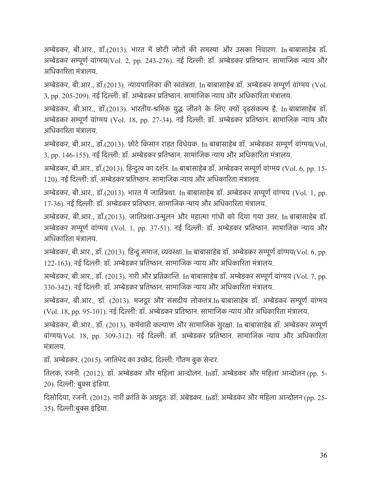अम्बेडकर, बी.आर., डॉ.(2013). भारत में छोटी जोतों की समस्या और उसका निवारण. In बाबासाहेब डॉ. अम्बेडकर सम्पूर्ण वांग्मय(Vol. 2, pp. 243-276). नई दिल्ली: डॉ. अम्बेडकर प्रतिष्ठान. सामाजिक न्याय और अधिकारिता मंत्रालय.

अमेडकर, बी.आर., डॉ.(2013). नायपािलका की सतंतता. In बाबासाहेब डॉ. अमेडकर समूणरवांगय (Vol. 3, pp. 205-209). नई दिल्ली: डॉ. अम्बेडकर प्रतिष्ठान. सामाजिक न्याय और अधिकारिता मंत्रालय.

अम्बेडकर, बी.आर., डॉ.(2013). भारतीय-श्रमिक युद्ध जीतने के लिए क्यों दृढ़संकल्प है. In बाबासाहेब डॉ. अम्बेडकर सम्पूर्ण वांग्मय (Vol. 18, pp. 27-34). नई दिल्ली: डॉ. अम्बेडकर प्रतिष्ठान. सामाजिक न्याय और अधिकारिता मंत्रालय.

अम्बेडकर, बी.आर., डॉ.(2013). छोटे किसान राहत विधेयक. In बाबासाहेब डॉ. अम्बेडकर सम्पूर्ण वांग्मय(Vol. 3, pp. 146-155). नई दिल्ली: डॉ. अम्बेडकर प्रतिष्ठान. सामाजिक न्याय और अधिकारिता मंत्रालय.

अमेडकर, बी.आर., डॉ.(2013). िहनुत का दशरन. In बाबासाहेब डॉ. अमेडकर समूणरवांगय (Vol. 6, pp. 15- 120). नई दिल्ली: डॉ. अम्बेडकर प्रतिष्ठान. सामाजिक न्याय और अधिकारिता मंत्रालय.

अम्बेडकर, बी.आर., डॉ.(2013). भारत में जातिप्रथा. In बाबासाहेब डॉ. अम्बेडकर सम्पूर्ण वांग्मय (Vol. 1, pp. 17-36). नई दिल्ली: डॉ. अम्बेडकर प्रतिष्ठान. सामाजिक न्याय और अधिकारिता मंत्रालय.

अमेडकर, बी.आर., डॉ.(2013). जाितपथा-उनूलन और महाता गांधी को िदया गया उतर. In बाबासाहेब डॉ. अमेडकर समूणर वांगय (Vol. 1, pp. 37-51). नई िदली: डॉ. अमेडकर पितषान. सामािजक नाय और अधिकारिता मंत्रालय.

अम्बेडकर, बी.आर., डॉ. (2013). हिन्दू समाज, व्यवस्था. In बाबासाहेब डॉ. अम्बेडकर सम्पूर्ण वांग्मय(Vol. 6, pp. 122-163). नई दिल्ली: डॉ. अम्बेडकर प्रतिष्ठान. सामाजिक न्याय और अधिकारिता मंत्रालय.

अम्बेडकर, बी.आर., डॉ. (2013). नारी और प्रतिक्रान्ति. In बाबासाहेब डॉ. अम्बेडकर सम्पूर्ण वांग्मय (Vol. 7, pp. 330-342). नई दिल्ली: डॉ. अम्बेडकर प्रतिष्ठान. सामाजिक न्याय और अधिकारिता मंत्रालय.

अमेडकर, बी.आर., डॉ. (2013). मजदूर और संसदीय लोकतंत.In बाबासाहेब डॉ. अमेडकर समूणर वांगय (Vol. 18, pp. 95-101). नई दिल्ली: डॉ. अम्बेडकर प्रतिष्ठान. सामाजिक न्याय और अधिकारिता मंत्रालय.

अम्बेडकर, बी.आर., डॉ. (2013). कर्मचारी कल्याण और सामाजिक सुरक्षा. In बाबासाहेब डॉ. अम्बेडकर सम्पूर्ण वांग्मय(Vol. 18, pp. 309-312). नई दिल्ली: डॉ. अम्बेडकर प्रतिष्ठान. सामाजिक न्याय और अधिकारिता मंतालय.

डॉ. अम्बेडकर. (2015). जातिभेद का उच्छेद. दिल्ली: गौतम बुक सेन्टर.

ितलक, रजनी. (2012). डॉ. अमेडकर और मिहला आनोलन. Inडॉ. अमेडकर और मिहला आनोलन (pp. 5- 20). दिल्ली: बुक्स इंडिया.

दिसोदिया, रजनी. (2012). नारी क्रांति के अग्रदूतः डॉ. अंबेडकर. Inडॉ. अम्बेडकर और महिला आन्दोलन (pp. 25-35). दिल्ली:बुक्स इंडिया.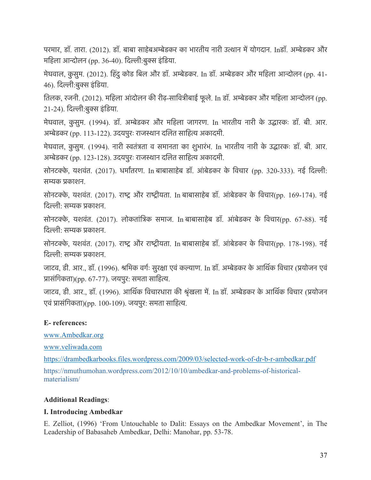परमार, डॉ. तारा. (2012). डॉ. बाबा साहेबअम्बेडकर का भारतीय नारी उत्थान में योगदान. Inडॉ. अम्बेडकर और महिला आन्दोलन (pp. 36-40). दिल्ली:बुक्स इंडिया.

मेघवाल, कु सुम. (2012). िहंदुकोड िबल और डॉ. अमेडकर. In डॉ. अमेडकर और मिहला आनोलन (pp. 41- 46). दिल्ली:बुक्स इंडिया.

तिलक, रजनी. (2012). महिला आंदोलन की रीढ़-सावित्रीबाई फूले. In डॉ. अम्बेडकर और महिला आन्दोलन (pp. 21-24). दिल्ली:बुक्स इंडिया.

मेघवाल, कु सुम. (1994). डॉ. अमेडकर और मिहला जागरण. In भारतीय नारी के उदारकः डॉ. बी. आर. अम्बेडकर (pp. 113-122). उदयपुरः राजस्थान दलित साहित्य अकादमी.

मेघवाल, कु सुम. (1994). नारी सतंतता व समानता का शुभारंभ. In भारतीय नारी के उदारकः डॉ. बी. आर. अम्बेडकर (pp. 123-128). उदयपुरः राजस्थान दलित साहित्य अकादमी.

सोनटक्के, यशवंत. (2017). धर्मांतरण. In बाबासाहेब डॉ. आंबेडकर के विचार (pp. 320-333). नई दिल्ली: समक पकाशन.

सोनटक्के, यशवंत. (2017). राष्ट्र और राष्ट्रीयता. In बाबासाहेब डॉ. आंबेडकर के विचार(pp. 169-174). नई िदली: समक पकाशन.

सोनटके, यशवंत. (2017). लोकतांितक समाज. In बाबासाहेब डॉ. आं बेडकर के िवचार(pp. 67-88). नई िदली: समक पकाशन.

सोनटक्के, यशवंत. (2017). राष्ट्र और राष्ट्रीयता. In बाबासाहेब डॉ. आंबेडकर के विचार(pp. 178-198). नई िदली: समक पकाशन.

जाटव, डी. आर., डॉ. (1996). श्रमिक वर्गः सुरक्षा एवं कल्याण. In डॉ. अम्बेडकर के आर्थिक विचार (प्रयोजन एवं प्रासंगिकता)(pp. 67-77). जयपुर: समता साहित्य.

जाटव, डी. आर., डॉ. (1996). आर्थिक विचारधारा की श्रृंखला में. In डॉ. अम्बेडकर के आर्थिक विचार (प्रयोजन एवं प्रासंगिकता)(pp. 100-109). जयपुर: समता साहित्य.

### **E- references:**

www.Ambedkar.org

www.veliwada.com

https://drambedkarbooks.files.wordpress.com/2009/03/selected-work-of-dr-b-r-ambedkar.pdf https://nmuthumohan.wordpress.com/2012/10/10/ambedkar-and-problems-of-historicalmaterialism/

#### **Additional Readings**:

### **I. Introducing Ambedkar**

E. Zelliot, (1996) 'From Untouchable to Dalit: Essays on the Ambedkar Movement', in The Leadership of Babasaheb Ambedkar, Delhi: Manohar, pp. 53-78.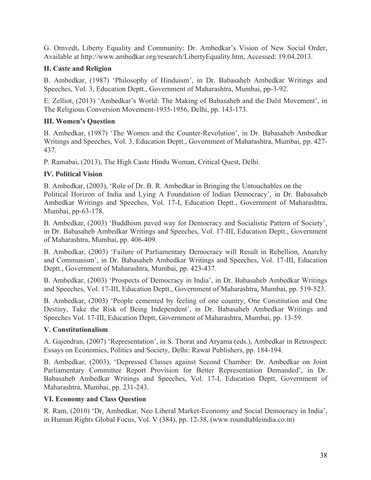G. Omvedt, Liberty Equality and Community: Dr. Ambedkar's Vision of New Social Order, Available at http://www.ambedkar.org/research/LibertyEquality.htm, Accessed: 19.04.2013.

# **II. Caste and Religion**

B. Ambedkar, (1987) 'Philosophy of Hinduism', in Dr. Babasaheb Ambedkar Writings and Speeches, Vol. 3, Education Deptt., Government of Maharashtra, Mumbai, pp-3-92.

E. Zelliot, (2013) 'Ambedkar's World: The Making of Babasaheb and the Dalit Movement', in The Religious Conversion Movement-1935-1956, Delhi, pp. 143-173.

# **III. Women's Question**

B. Ambedkar, (1987) 'The Women and the Counter-Revolution', in Dr. Babasaheb Ambedkar Writings and Speeches, Vol. 3, Education Deptt., Government of Maharashtra, Mumbai, pp. 427- 437.

P. Ramabai, (2013), The High Caste Hindu Woman, Critical Quest, Delhi.

# **IV. Political Vision**

B. Ambedkar, (2003), 'Role of Dr. B. R. Ambedkar in Bringing the Untouchables on the Political Horizon of India and Lying A Foundation of Indian Democracy', in Dr. Babasaheb Ambedkar Writings and Speeches, Vol. 17-I, Education Deptt., Government of Maharashtra, Mumbai, pp-63-178.

B. Ambedkar, (2003) 'Buddhism paved way for Democracy and Socialistic Pattern of Society', in Dr. Babasaheb Ambedkar Writings and Speeches, Vol. 17-III, Education Deptt., Government of Maharashtra, Mumbai, pp. 406-409.

B. Ambedkar, (2003) 'Failure of Parliamentary Democracy will Result in Rebellion, Anarchy and Communism', in Dr. Babasaheb Ambedkar Writings and Speeches, Vol. 17-III, Education Deptt., Government of Maharashtra, Mumbai, pp. 423-437.

B. Ambedkar, (2003) 'Prospects of Democracy in India', in Dr. Babasaheb Ambedkar Writings and Speeches, Vol. 17-III, Education Deptt., Government of Maharashtra, Mumbai, pp. 519-523.

B. Ambedkar, (2003) 'People cemented by feeling of one country, One Constitution and One Destiny, Take the Risk of Being Independent', in Dr. Babasaheb Ambedkar Writings and Speeches Vol. 17-III, Education Deptt, Government of Maharashtra, Mumbai, pp. 13-59.

### **V. Constitutionalism**

A. Gajendran, (2007) 'Representation', in S. Thorat and Aryama (eds.), Ambedkar in Retrospect: Essays on Economics, Politics and Society, Delhi: Rawat Publishers, pp. 184-194.

B. Ambedkar, (2003), 'Depressed Classes against Second Chamber: Dr. Ambedkar on Joint Parliamentary Committee Report Provision for Better Representation Demanded', in Dr. Babasaheb Ambedkar Writings and Speeches, Vol. 17-I, Education Deptt, Government of Maharashtra, Mumbai, pp. 231-243.

### **VI. Economy and Class Question**

R. Ram, (2010) 'Dr, Ambedkar, Neo Liberal Market-Economy and Social Democracy in India', in Human Rights Global Focus, Vol. V (384), pp. 12-38, (www.roundtableindia.co.in)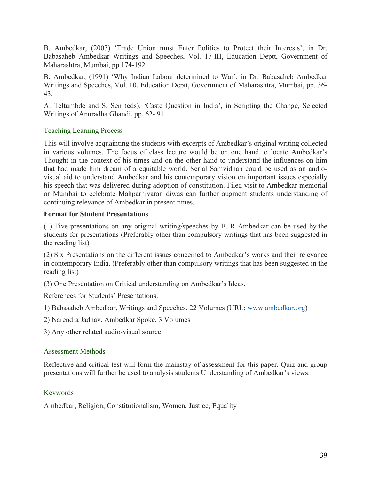B. Ambedkar, (2003) 'Trade Union must Enter Politics to Protect their Interests', in Dr. Babasaheb Ambedkar Writings and Speeches, Vol. 17-III, Education Deptt, Government of Maharashtra, Mumbai, pp.174-192.

B. Ambedkar, (1991) 'Why Indian Labour determined to War', in Dr. Babasaheb Ambedkar Writings and Speeches, Vol. 10, Education Deptt, Government of Maharashtra, Mumbai, pp. 36- 43.

A. Teltumbde and S. Sen (eds), 'Caste Question in India', in Scripting the Change, Selected Writings of Anuradha Ghandi, pp. 62- 91.

# Teaching Learning Process

This will involve acquainting the students with excerpts of Ambedkar's original writing collected in various volumes. The focus of class lecture would be on one hand to locate Ambedkar's Thought in the context of his times and on the other hand to understand the influences on him that had made him dream of a equitable world. Serial Samvidhan could be used as an audiovisual aid to understand Ambedkar and his contemporary vision on important issues especially his speech that was delivered during adoption of constitution. Filed visit to Ambedkar memorial or Mumbai to celebrate Mahparnivaran diwas can further augment students understanding of continuing relevance of Ambedkar in present times.

### **Format for Student Presentations**

(1) Five presentations on any original writing/speeches by B. R Ambedkar can be used by the students for presentations (Preferably other than compulsory writings that has been suggested in the reading list)

(2) Six Presentations on the different issues concerned to Ambedkar's works and their relevance in contemporary India. (Preferably other than compulsory writings that has been suggested in the reading list)

(3) One Presentation on Critical understanding on Ambedkar's Ideas.

References for Students' Presentations:

1) Babasaheb Ambedkar, Writings and Speeches, 22 Volumes (URL: www.ambedkar.org)

2) Narendra Jadhav, Ambedkar Spoke, 3 Volumes

3) Any other related audio-visual source

# Assessment Methods

Reflective and critical test will form the mainstay of assessment for this paper. Quiz and group presentations will further be used to analysis students Understanding of Ambedkar's views.

# Keywords

Ambedkar, Religion, Constitutionalism, Women, Justice, Equality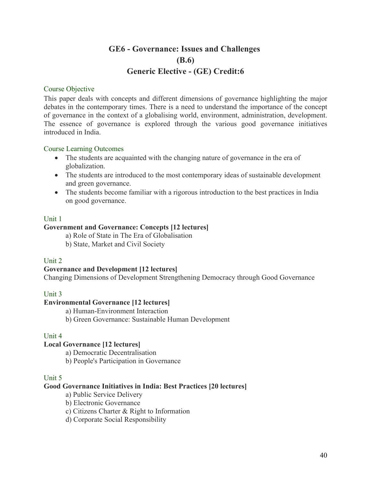# **GE6 - Governance: Issues and Challenges (B.6) Generic Elective - (GE) Credit:6**

#### Course Objective

This paper deals with concepts and different dimensions of governance highlighting the major debates in the contemporary times. There is a need to understand the importance of the concept of governance in the context of a globalising world, environment, administration, development. The essence of governance is explored through the various good governance initiatives introduced in India.

#### Course Learning Outcomes

- The students are acquainted with the changing nature of governance in the era of globalization.
- The students are introduced to the most contemporary ideas of sustainable development and green governance.
- The students become familiar with a rigorous introduction to the best practices in India on good governance.

#### Unit 1

#### **Government and Governance: Concepts [12 lectures]**

a) Role of State in The Era of Globalisation

b) State, Market and Civil Society

#### Unit 2

#### **Governance and Development [12 lectures]**

Changing Dimensions of Development Strengthening Democracy through Good Governance

### Unit 3

#### **Environmental Governance [12 lectures]**

a) Human-Environment Interaction

b) Green Governance: Sustainable Human Development

#### Unit 4

### **Local Governance [12 lectures]**

a) Democratic Decentralisation

b) People's Participation in Governance

#### Unit 5

#### **Good Governance Initiatives in India: Best Practices [20 lectures]**

- a) Public Service Delivery
- b) Electronic Governance
- c) Citizens Charter & Right to Information
- d) Corporate Social Responsibility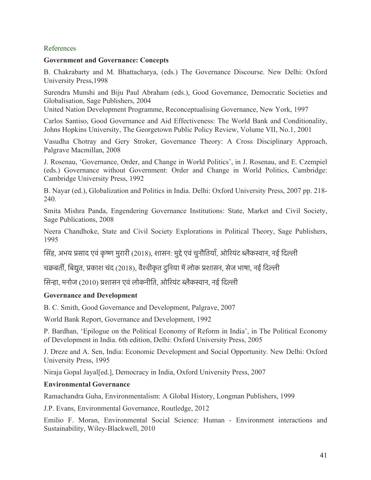#### References

#### **Government and Governance: Concepts**

B. Chakrabarty and M. Bhattacharya, (eds.) The Governance Discourse. New Delhi: Oxford University Press,1998

Surendra Munshi and Biju Paul Abraham (eds.), Good Governance, Democratic Societies and Globalisation, Sage Publishers, 2004

United Nation Development Programme, Reconceptualising Governance, New York, 1997

Carlos Santiso, Good Governance and Aid Effectiveness: The World Bank and Conditionality, Johns Hopkins University, The Georgetown Public Policy Review, Volume VII, No.1, 2001

Vasudha Chotray and Gery Stroker, Governance Theory: A Cross Disciplinary Approach, Palgrave Macmillan, 2008

J. Rosenau, 'Governance, Order, and Change in World Politics', in J. Rosenau, and E. Czempiel (eds.) Governance without Government: Order and Change in World Politics, Cambridge: Cambridge University Press, 1992

B. Nayar (ed.), Globalization and Politics in India. Delhi: Oxford University Press, 2007 pp. 218- 240.

Smita Mishra Panda, Engendering Governance Institutions: State, Market and Civil Society, Sage Publications, 2008

Neera Chandhoke, State and Civil Society Explorations in Political Theory, Sage Publishers, 1995

सिंह, अभय प्रसाद एवं कृष्ण मुरारी (2018), शासन: मुद्दे एवं चुनौतियाँ, ओरियंट ब्लैकस्वान, नई दिल्ली

चक्रबर्ती, बिद्युत, प्रकाश चंद (2018), वैश्वीकृत दुनिया में लोक प्रशासन, सेज भाषा, नई दिल्ली

सिन्हा, मनोज (2010) प्रशासन एवं लोकनीति, ओरियंट ब्लैकस्वान, नई दिल्ली

### **Governance and Development**

B. C. Smith, Good Governance and Development, Palgrave, 2007

World Bank Report, Governance and Development, 1992

P. Bardhan, 'Epilogue on the Political Economy of Reform in India', in The Political Economy of Development in India. 6th edition, Delhi: Oxford University Press, 2005

J. Dreze and A. Sen, India: Economic Development and Social Opportunity. New Delhi: Oxford University Press, 1995

Niraja Gopal Jayal[ed.], Democracy in India, Oxford University Press, 2007

#### **Environmental Governance**

Ramachandra Guha, Environmentalism: A Global History, Longman Publishers, 1999

J.P. Evans, Environmental Governance, Routledge, 2012

Emilio F. Moran, Environmental Social Science: Human - Environment interactions and Sustainability, Wiley-Blackwell, 2010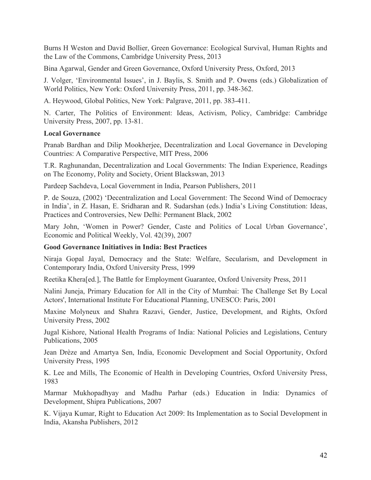Burns H Weston and David Bollier, Green Governance: Ecological Survival, Human Rights and the Law of the Commons, Cambridge University Press, 2013

Bina Agarwal, Gender and Green Governance, Oxford University Press, Oxford, 2013

J. Volger, 'Environmental Issues', in J. Baylis, S. Smith and P. Owens (eds.) Globalization of World Politics, New York: Oxford University Press, 2011, pp. 348-362.

A. Heywood, Global Politics, New York: Palgrave, 2011, pp. 383-411.

N. Carter, The Politics of Environment: Ideas, Activism, Policy, Cambridge: Cambridge University Press, 2007, pp. 13-81.

#### **Local Governance**

Pranab Bardhan and Dilip Mookherjee, Decentralization and Local Governance in Developing Countries: A Comparative Perspective, MIT Press, 2006

T.R. Raghunandan, Decentralization and Local Governments: The Indian Experience, Readings on The Economy, Polity and Society, Orient Blackswan, 2013

Pardeep Sachdeva, Local Government in India, Pearson Publishers, 2011

P. de Souza, (2002) 'Decentralization and Local Government: The Second Wind of Democracy in India', in Z. Hasan, E. Sridharan and R. Sudarshan (eds.) India's Living Constitution: Ideas, Practices and Controversies, New Delhi: Permanent Black, 2002

Mary John, 'Women in Power? Gender, Caste and Politics of Local Urban Governance', Economic and Political Weekly, Vol. 42(39), 2007

### **Good Governance Initiatives in India: Best Practices**

Niraja Gopal Jayal, Democracy and the State: Welfare, Secularism, and Development in Contemporary India, Oxford University Press, 1999

Reetika Khera[ed.], The Battle for Employment Guarantee, Oxford University Press, 2011

Nalini Juneja, Primary Education for All in the City of Mumbai: The Challenge Set By Local Actors', International Institute For Educational Planning, UNESCO: Paris, 2001

Maxine Molyneux and Shahra Razavi, Gender, Justice, Development, and Rights, Oxford University Press, 2002

Jugal Kishore, National Health Programs of India: National Policies and Legislations, Century Publications, 2005

Jean Drèze and Amartya Sen, India, Economic Development and Social Opportunity, Oxford University Press, 1995

K. Lee and Mills, The Economic of Health in Developing Countries, Oxford University Press, 1983

Marmar Mukhopadhyay and Madhu Parhar (eds.) Education in India: Dynamics of Development, Shipra Publications, 2007

K. Vijaya Kumar, Right to Education Act 2009: Its Implementation as to Social Development in India, Akansha Publishers, 2012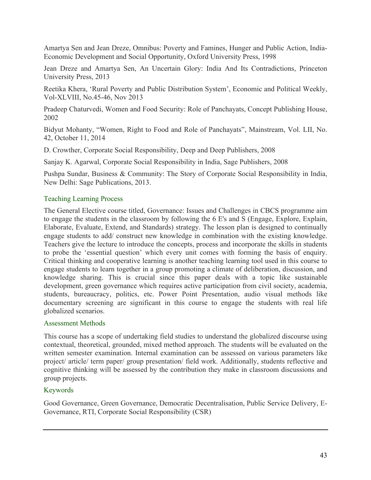Amartya Sen and Jean Dreze, Omnibus: Poverty and Famines, Hunger and Public Action, India-Economic Development and Social Opportunity, Oxford University Press, 1998

Jean Dreze and Amartya Sen, An Uncertain Glory: India And Its Contradictions, Princeton University Press, 2013

Reetika Khera, 'Rural Poverty and Public Distribution System', Economic and Political Weekly, Vol-XLVIII, No.45-46, Nov 2013

Pradeep Chaturvedi, Women and Food Security: Role of Panchayats, Concept Publishing House, 2002

Bidyut Mohanty, "Women, Right to Food and Role of Panchayats", Mainstream, Vol. LII, No. 42, October 11, 2014

D. Crowther, Corporate Social Responsibility, Deep and Deep Publishers, 2008

Sanjay K. Agarwal, Corporate Social Responsibility in India, Sage Publishers, 2008

Pushpa Sundar, Business & Community: The Story of Corporate Social Responsibility in India, New Delhi: Sage Publications, 2013.

#### Teaching Learning Process

The General Elective course titled, Governance: Issues and Challenges in CBCS programme aim to engage the students in the classroom by following the 6 E's and S (Engage, Explore, Explain, Elaborate, Evaluate, Extend, and Standards) strategy. The lesson plan is designed to continually engage students to add/ construct new knowledge in combination with the existing knowledge. Teachers give the lecture to introduce the concepts, process and incorporate the skills in students to probe the 'essential question' which every unit comes with forming the basis of enquiry. Critical thinking and cooperative learning is another teaching learning tool used in this course to engage students to learn together in a group promoting a climate of deliberation, discussion, and knowledge sharing. This is crucial since this paper deals with a topic like sustainable development, green governance which requires active participation from civil society, academia, students, bureaucracy, politics, etc. Power Point Presentation, audio visual methods like documentary screening are significant in this course to engage the students with real life globalized scenarios.

#### Assessment Methods

This course has a scope of undertaking field studies to understand the globalized discourse using contextual, theoretical, grounded, mixed method approach. The students will be evaluated on the written semester examination. Internal examination can be assessed on various parameters like project/ article/ term paper/ group presentation/ field work. Additionally, students reflective and cognitive thinking will be assessed by the contribution they make in classroom discussions and group projects.

### Keywords

Good Governance, Green Governance, Democratic Decentralisation, Public Service Delivery, E-Governance, RTI, Corporate Social Responsibility (CSR)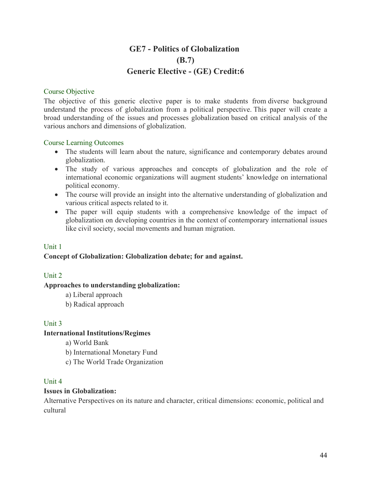# **GE7 - Politics of Globalization (B.7) Generic Elective - (GE) Credit:6**

#### Course Objective

The objective of this generic elective paper is to make students from diverse background understand the process of globalization from a political perspective. This paper will create a broad understanding of the issues and processes globalization based on critical analysis of the various anchors and dimensions of globalization.

#### Course Learning Outcomes

- The students will learn about the nature, significance and contemporary debates around globalization.
- The study of various approaches and concepts of globalization and the role of international economic organizations will augment students' knowledge on international political economy.
- The course will provide an insight into the alternative understanding of globalization and various critical aspects related to it.
- The paper will equip students with a comprehensive knowledge of the impact of globalization on developing countries in the context of contemporary international issues like civil society, social movements and human migration.

### Unit 1

### **Concept of Globalization: Globalization debate; for and against.**

### Unit 2

### **Approaches to understanding globalization:**

- a) Liberal approach
- b) Radical approach

### Unit 3

### **International Institutions/Regimes**

- a) World Bank
- b) International Monetary Fund
- c) The World Trade Organization

#### Unit 4

#### **Issues in Globalization:**

Alternative Perspectives on its nature and character, critical dimensions: economic, political and cultural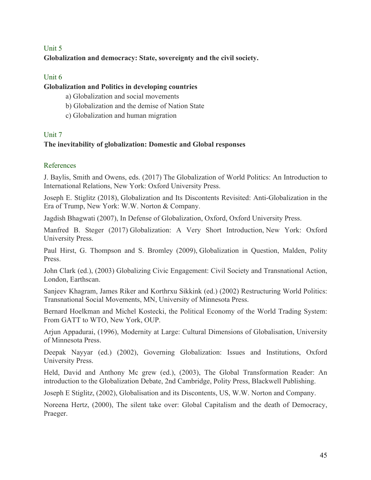# Unit 5 **Globalization and democracy: State, sovereignty and the civil society.**

# Unit 6

### **Globalization and Politics in developing countries**

- a) Globalization and social movements
- b) Globalization and the demise of Nation State
- c) Globalization and human migration

# Unit 7

# **The inevitability of globalization: Domestic and Global responses**

# References

J. Baylis, Smith and Owens, eds. (2017) The Globalization of World Politics: An Introduction to International Relations, New York: Oxford University Press.

Joseph E. Stiglitz (2018), Globalization and Its Discontents Revisited: Anti-Globalization in the Era of Trump, New York: W.W. Norton & Company.

Jagdish Bhagwati (2007), In Defense of Globalization, Oxford, Oxford University Press.

Manfred B. Steger (2017) Globalization: A Very Short Introduction, New York: Oxford University Press.

Paul Hirst, G. Thompson and S. Bromley (2009), Globalization in Question, Malden, Polity Press.

John Clark (ed.), (2003) Globalizing Civic Engagement: Civil Society and Transnational Action, London, Earthscan.

Sanjeev Khagram, James Riker and Korthrxu Sikkink (ed.) (2002) Restructuring World Politics: Transnational Social Movements, MN, University of Minnesota Press.

Bernard Hoelkman and Michel Kostecki, the Political Economy of the World Trading System: From GATT to WTO, New York, OUP.

Arjun Appadurai, (1996), Modernity at Large: Cultural Dimensions of Globalisation, University of Minnesota Press.

Deepak Nayyar (ed.) (2002), Governing Globalization: Issues and Institutions, Oxford University Press.

Held, David and Anthony Mc grew (ed.), (2003), The Global Transformation Reader: An introduction to the Globalization Debate, 2nd Cambridge, Polity Press, Blackwell Publishing.

Joseph E Stiglitz, (2002), Globalisation and its Discontents, US, W.W. Norton and Company.

Noreena Hertz, (2000), The silent take over: Global Capitalism and the death of Democracy, Praeger.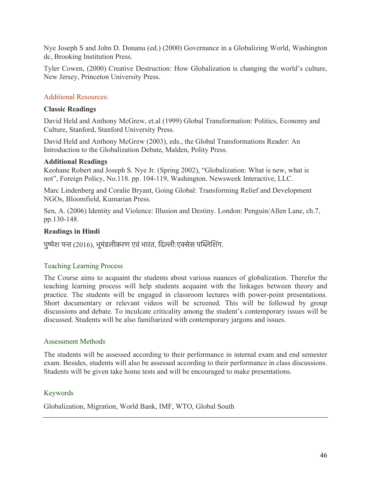Nye Joseph S and John D. Donanu (ed.) (2000) Governance in a Globalizing World, Washington dc, Brooking Institution Press.

Tyler Cowen, (2000) Creative Destruction: How Globalization is changing the world's culture, New Jersey, Princeton University Press.

### Additional Resources:

#### **Classic Readings**

David Held and Anthony McGrew, et.al (1999) Global Transformation: Politics, Economy and Culture, Stanford, Stanford University Press.

David Held and Anthony McGrew (2003), eds., the Global Transformations Reader: An Introduction to the Globalization Debate, Malden, Polity Press.

#### **Additional Readings**

Keohane Robert and Joseph S. Nye Jr. (Spring 2002), "Globalization: What is new, what is not", Foreign Policy, No.118. pp. 104-119, Washington. Newsweek Interactive, LLC.

Marc Lindenberg and Coralie Bryant, Going Global: Transforming Relief and Development NGOs, Bloomfield, Kumarian Press.

Sen, A. (2006) Identity and Violence: Illusion and Destiny. London: Penguin/Allen Lane, ch.7, pp.130-148.

### **Readings in Hindi**

पुष्पेश पन्त (2016), भूमंडलीकरण एवं भारत, दिल्ली:एक्सेस पब्लिशिंग.

### Teaching Learning Process

The Course aims to acquaint the students about various nuances of globalization. Therefor the teaching learning process will help students acquaint with the linkages between theory and practice. The students will be engaged in classroom lectures with power-point presentations. Short documentary or relevant videos will be screened. This will be followed by group discussions and debate. To inculcate criticality among the student's contemporary issues will be discussed. Students will be also familiarized with contemporary jargons and issues.

### Assessment Methods

The students will be assessed according to their performance in internal exam and end semester exam. Besides, students will also be assessed according to their performance in class discussions. Students will be given take home tests and will be encouraged to make presentations.

### Keywords

Globalization, Migration, World Bank, IMF, WTO, Global South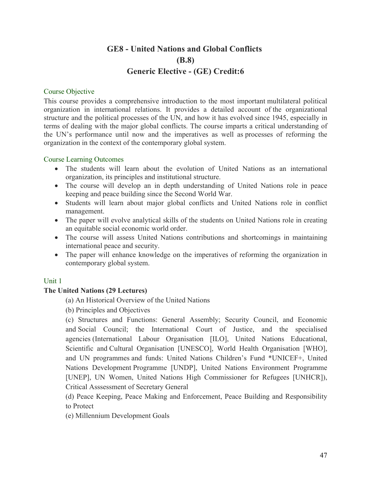# **GE8 - United Nations and Global Conflicts (B.8) Generic Elective - (GE) Credit:6**

#### Course Objective

This course provides a comprehensive introduction to the most important multilateral political organization in international relations. It provides a detailed account of the organizational structure and the political processes of the UN, and how it has evolved since 1945, especially in terms of dealing with the major global conflicts. The course imparts a critical understanding of the UN's performance until now and the imperatives as well as processes of reforming the organization in the context of the contemporary global system.

#### Course Learning Outcomes

- The students will learn about the evolution of United Nations as an international organization, its principles and institutional structure.
- The course will develop an in depth understanding of United Nations role in peace keeping and peace building since the Second World War.
- Students will learn about major global conflicts and United Nations role in conflict management.
- The paper will evolve analytical skills of the students on United Nations role in creating an equitable social economic world order.
- The course will assess United Nations contributions and shortcomings in maintaining international peace and security.
- The paper will enhance knowledge on the imperatives of reforming the organization in contemporary global system.

### Unit 1

### **The United Nations (29 Lectures)**

- (a) An Historical Overview of the United Nations
- (b) Principles and Objectives

(c) Structures and Functions: General Assembly; Security Council, and Economic and Social Council; the International Court of Justice, and the specialised agencies (International Labour Organisation [ILO], United Nations Educational, Scientific and Cultural Organisation [UNESCO], World Health Organisation [WHO], and UN programmes and funds: United Nations Children's Fund \*UNICEF+, United Nations Development Programme [UNDP], United Nations Environment Programme [UNEP], UN Women, United Nations High Commissioner for Refugees [UNHCR]), Critical Asssessment of Secretary General

(d) Peace Keeping, Peace Making and Enforcement, Peace Building and Responsibility to Protect

(e) Millennium Development Goals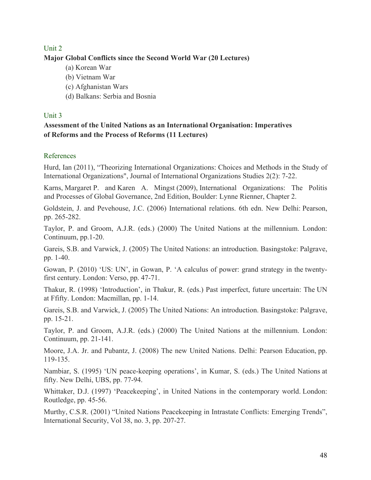# Unit 2 **Major Global Conflicts since the Second World War (20 Lectures)**

- (a) Korean War
- (b) Vietnam War
- (c) Afghanistan Wars
- (d) Balkans: Serbia and Bosnia

### Unit 3

# **Assessment of the United Nations as an International Organisation: Imperatives of Reforms and the Process of Reforms (11 Lectures)**

### References

Hurd, Ian (2011), "Theorizing International Organizations: Choices and Methods in the Study of International Organizations", Journal of International Organizations Studies 2(2): 7-22.

Karns, Margaret P. and Karen A. Mingst (2009), International Organizations: The Politis and Processes of Global Governance, 2nd Edition, Boulder: Lynne Rienner, Chapter 2.

Goldstein, J. and Pevehouse, J.C. (2006) International relations. 6th edn. New Delhi: Pearson, pp. 265-282.

Taylor, P. and Groom, A.J.R. (eds.) (2000) The United Nations at the millennium. London: Continuum, pp.1-20.

Gareis, S.B. and Varwick, J. (2005) The United Nations: an introduction. Basingstoke: Palgrave, pp. 1-40.

Gowan, P. (2010) 'US: UN', in Gowan, P. 'A calculus of power: grand strategy in the twentyfirst century. London: Verso, pp. 47-71.

Thakur, R. (1998) 'Introduction', in Thakur, R. (eds.) Past imperfect, future uncertain: The UN at Ffifty. London: Macmillan, pp. 1-14.

Gareis, S.B. and Varwick, J. (2005) The United Nations: An introduction. Basingstoke: Palgrave, pp. 15-21.

Taylor, P. and Groom, A.J.R. (eds.) (2000) The United Nations at the millennium. London: Continuum, pp. 21-141.

Moore, J.A. Jr. and Pubantz, J. (2008) The new United Nations. Delhi: Pearson Education, pp. 119-135.

Nambiar, S. (1995) 'UN peace-keeping operations', in Kumar, S. (eds.) The United Nations at fifty. New Delhi, UBS, pp. 77-94.

Whittaker, D.J. (1997) 'Peacekeeping', in United Nations in the contemporary world. London: Routledge, pp. 45-56.

Murthy, C.S.R. (2001) "United Nations Peacekeeping in Intrastate Conflicts: Emerging Trends", International Security, Vol 38, no. 3, pp. 207-27.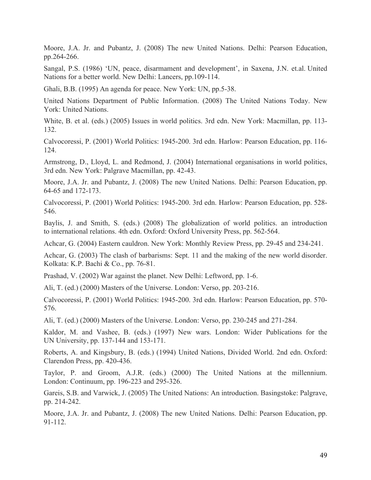Moore, J.A. Jr. and Pubantz, J. (2008) The new United Nations. Delhi: Pearson Education, pp.264-266.

Sangal, P.S. (1986) 'UN, peace, disarmament and development', in Saxena, J.N. et.al. United Nations for a better world. New Delhi: Lancers, pp.109-114.

Ghali, B.B. (1995) An agenda for peace. New York: UN, pp.5-38.

United Nations Department of Public Information. (2008) The United Nations Today. New York: United Nations.

White, B. et al. (eds.) (2005) Issues in world politics. 3rd edn. New York: Macmillan, pp. 113- 132.

Calvocoressi, P. (2001) World Politics: 1945-200. 3rd edn. Harlow: Pearson Education, pp. 116- 124.

Armstrong, D., Lloyd, L. and Redmond, J. (2004) International organisations in world politics, 3rd edn. New York: Palgrave Macmillan, pp. 42-43.

Moore, J.A. Jr. and Pubantz, J. (2008) The new United Nations. Delhi: Pearson Education, pp. 64-65 and 172-173.

Calvocoressi, P. (2001) World Politics: 1945-200. 3rd edn. Harlow: Pearson Education, pp. 528- 546.

Baylis, J. and Smith, S. (eds.) (2008) The globalization of world politics. an introduction to international relations. 4th edn. Oxford: Oxford University Press, pp. 562-564.

Achcar, G. (2004) Eastern cauldron. New York: Monthly Review Press, pp. 29-45 and 234-241.

Achcar, G. (2003) The clash of barbarisms: Sept. 11 and the making of the new world disorder. Kolkata: K.P. Bachi & Co., pp. 76-81.

Prashad, V. (2002) War against the planet. New Delhi: Leftword, pp. 1-6.

Ali, T. (ed.) (2000) Masters of the Universe. London: Verso, pp. 203-216.

Calvocoressi, P. (2001) World Politics: 1945-200. 3rd edn. Harlow: Pearson Education, pp. 570- 576.

Ali, T. (ed.) (2000) Masters of the Universe. London: Verso, pp. 230-245 and 271-284.

Kaldor, M. and Vashee, B. (eds.) (1997) New wars. London: Wider Publications for the UN University, pp. 137-144 and 153-171.

Roberts, A. and Kingsbury, B. (eds.) (1994) United Nations, Divided World. 2nd edn. Oxford: Clarendon Press, pp. 420-436.

Taylor, P. and Groom, A.J.R. (eds.) (2000) The United Nations at the millennium. London: Continuum, pp. 196-223 and 295-326.

Gareis, S.B. and Varwick, J. (2005) The United Nations: An introduction. Basingstoke: Palgrave, pp. 214-242.

Moore, J.A. Jr. and Pubantz, J. (2008) The new United Nations. Delhi: Pearson Education, pp. 91-112.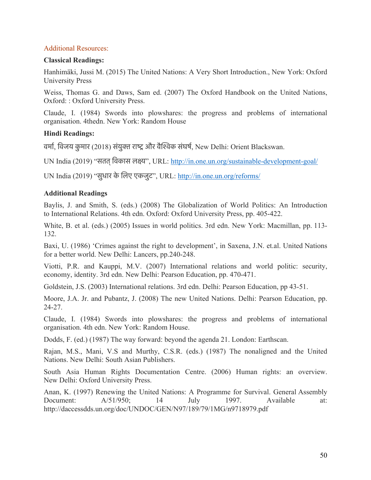#### Additional Resources:

#### **Classical Readings:**

Hanhimäki, Jussi M. (2015) The United Nations: A Very Short Introduction., New York: Oxford University Press

Weiss, Thomas G. and Daws, Sam ed. (2007) The Oxford Handbook on the United Nations, Oxford: : Oxford University Press.

Claude, I. (1984) Swords into plowshares: the progress and problems of international organisation. 4thedn. New York: Random House

#### **Hindi Readings:**

वर्मा, विजय कुमार (2018) संयुक्त राष्ट्र और वैश्विक संघर्ष, New Delhi: Orient Blackswan.

UN India (2019) "सतत्िवकास लकय", URL: http://in.one.un.org/sustainable-development-goal/

UN India (2019) "सुधार के िलए एकजुट", URL: http://in.one.un.org/reforms/

#### **Additional Readings**

Baylis, J. and Smith, S. (eds.) (2008) The Globalization of World Politics: An Introduction to International Relations. 4th edn. Oxford: Oxford University Press, pp. 405-422.

White, B. et al. (eds.) (2005) Issues in world politics. 3rd edn. New York: Macmillan, pp. 113- 132.

Baxi, U. (1986) 'Crimes against the right to development', in Saxena, J.N. et.al. United Nations for a better world. New Delhi: Lancers, pp.240-248.

Viotti, P.R. and Kauppi, M.V. (2007) International relations and world politic: security, economy, identity. 3rd edn. New Delhi: Pearson Education, pp. 470-471.

Goldstein, J.S. (2003) International relations. 3rd edn. Delhi: Pearson Education, pp 43-51.

Moore, J.A. Jr. and Pubantz, J. (2008) The new United Nations. Delhi: Pearson Education, pp. 24-27.

Claude, I. (1984) Swords into plowshares: the progress and problems of international organisation. 4th edn. New York: Random House.

Dodds, F. (ed.) (1987) The way forward: beyond the agenda 21. London: Earthscan.

Rajan, M.S., Mani, V.S and Murthy, C.S.R. (eds.) (1987) The nonaligned and the United Nations. New Delhi: South Asian Publishers.

South Asia Human Rights Documentation Centre. (2006) Human rights: an overview. New Delhi: Oxford University Press.

Anan, K. (1997) Renewing the United Nations: A Programme for Survival. General Assembly Document: A/51/950; 14 July 1997. Available at: http://daccessdds.un.org/doc/UNDOC/GEN/N97/189/79/1MG/n9718979.pdf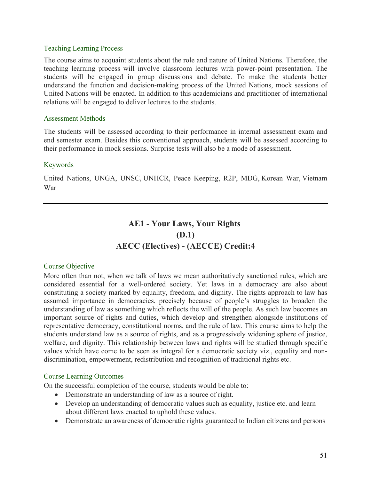#### Teaching Learning Process

The course aims to acquaint students about the role and nature of United Nations. Therefore, the teaching learning process will involve classroom lectures with power-point presentation. The students will be engaged in group discussions and debate. To make the students better understand the function and decision-making process of the United Nations, mock sessions of United Nations will be enacted. In addition to this academicians and practitioner of international relations will be engaged to deliver lectures to the students.

#### Assessment Methods

The students will be assessed according to their performance in internal assessment exam and end semester exam. Besides this conventional approach, students will be assessed according to their performance in mock sessions. Surprise tests will also be a mode of assessment.

#### Keywords

United Nations, UNGA, UNSC, UNHCR, Peace Keeping, R2P, MDG, Korean War, Vietnam War

# **AE1 - Your Laws, Your Rights (D.1) AECC (Electives) - (AECCE) Credit:4**

#### Course Objective

More often than not, when we talk of laws we mean authoritatively sanctioned rules, which are considered essential for a well-ordered society. Yet laws in a democracy are also about constituting a society marked by equality, freedom, and dignity. The rights approach to law has assumed importance in democracies, precisely because of people's struggles to broaden the understanding of law as something which reflects the will of the people. As such law becomes an important source of rights and duties, which develop and strengthen alongside institutions of representative democracy, constitutional norms, and the rule of law. This course aims to help the students understand law as a source of rights, and as a progressively widening sphere of justice, welfare, and dignity. This relationship between laws and rights will be studied through specific values which have come to be seen as integral for a democratic society viz., equality and nondiscrimination, empowerment, redistribution and recognition of traditional rights etc.

#### Course Learning Outcomes

On the successful completion of the course, students would be able to:

- Demonstrate an understanding of law as a source of right.
- Develop an understanding of democratic values such as equality, justice etc. and learn about different laws enacted to uphold these values.
- Demonstrate an awareness of democratic rights guaranteed to Indian citizens and persons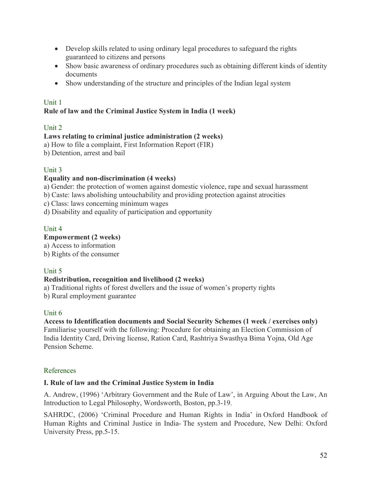- Develop skills related to using ordinary legal procedures to safeguard the rights guaranteed to citizens and persons
- Show basic awareness of ordinary procedures such as obtaining different kinds of identity documents
- Show understanding of the structure and principles of the Indian legal system

### Unit 1

# **Rule of law and the Criminal Justice System in India (1 week)**

# Unit 2

# **Laws relating to criminal justice administration (2 weeks)**

a) How to file a complaint, First Information Report (FIR)

b) Detention, arrest and bail

# Unit 3

# **Equality and non-discrimination (4 weeks)**

a) Gender: the protection of women against domestic violence, rape and sexual harassment

b) Caste: laws abolishing untouchability and providing protection against atrocities

c) Class: laws concerning minimum wages

d) Disability and equality of participation and opportunity

# Unit 4

# **Empowerment (2 weeks)**

a) Access to information

b) Rights of the consumer

# Unit 5

### **Redistribution, recognition and livelihood (2 weeks)**

a) Traditional rights of forest dwellers and the issue of women's property rights

b) Rural employment guarantee

### Unit 6

#### **Access to Identification documents and Social Security Schemes (1 week / exercises only)** Familiarise yourself with the following: Procedure for obtaining an Election Commission of India Identity Card, Driving license, Ration Card, Rashtriya Swasthya Bima Yojna, Old Age Pension Scheme.

# References

# **I. Rule of law and the Criminal Justice System in India**

A. Andrew, (1996) 'Arbitrary Government and the Rule of Law', in Arguing About the Law, An Introduction to Legal Philosophy, Wordsworth, Boston, pp.3-19.

SAHRDC, (2006) 'Criminal Procedure and Human Rights in India' in Oxford Handbook of Human Rights and Criminal Justice in India- The system and Procedure, New Delhi: Oxford University Press, pp.5-15.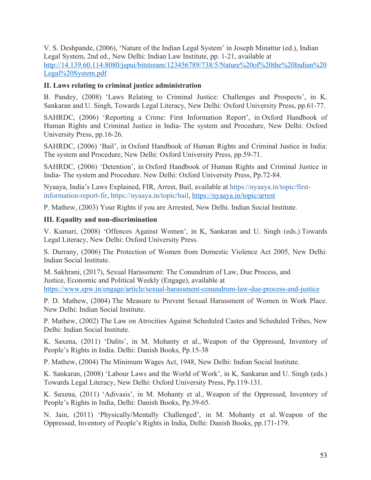V. S. Deshpande, (2006), 'Nature of the Indian Legal System' in Joseph Minattur (ed.), Indian Legal System, 2nd ed., New Delhi: Indian Law Institute, pp. 1-21, available at http://14.139.60.114:8080/jspui/bitstream/123456789/738/5/Nature%20of%20the%20Indian%20 Legal%20System.pdf

### **II. Laws relating to criminal justice administration**

B. Pandey, (2008) 'Laws Relating to Criminal Justice: Challenges and Prospects', in K. Sankaran and U. Singh, Towards Legal Literacy, New Delhi: Oxford University Press, pp.61-77.

SAHRDC, (2006) 'Reporting a Crime: First Information Report', in Oxford Handbook of Human Rights and Criminal Justice in India- The system and Procedure, New Delhi: Oxford University Press, pp.16-26.

SAHRDC, (2006) 'Bail', in Oxford Handbook of Human Rights and Criminal Justice in India: The system and Procedure, New Delhi: Oxford University Press, pp.59-71.

SAHRDC, (2006) 'Detention', in Oxford Handbook of Human Rights and Criminal Justice in India- The system and Procedure. New Delhi: Oxford University Press, Pp.72-84.

Nyaaya, India's Laws Explained, FIR, Arrest, Bail, available at https://nyaaya.in/topic/firstinformation-report-fir, https://nyaaya.in/topic/bail, https://nyaaya.in/topic/arrest

P. Mathew, (2003) Your Rights if you are Arrested, New Delhi. Indian Social Institute.

# **III. Equality and non-discrimination**

V. Kumari, (2008) 'Offences Against Women', in K, Sankaran and U. Singh (eds.) Towards Legal Literacy, New Delhi: Oxford University Press.

S. Durrany, (2006) The Protection of Women from Domestic Violence Act 2005, New Delhi: Indian Social Institute.

M. Sakhrani, (2017), Sexual Harassment: The Conundrum of Law, Due Process, and Justice, Economic and Political Weekly (Engage), available at https://www.epw.in/engage/article/sexual-harassment-conundrum-law-due-process-and-justice

P. D. Mathew, (2004) The Measure to Prevent Sexual Harassment of Women in Work Place. New Delhi: Indian Social Institute.

P. Mathew, (2002) The Law on Atrocities Against Scheduled Castes and Scheduled Tribes, New Delhi: Indian Social Institute.

K. Saxena, (2011) 'Dalits', in M. Mohanty et al., Weapon of the Oppressed, Inventory of People's Rights in India. Delhi: Danish Books, Pp.15-38

P. Mathew, (2004) The Minimum Wages Act, 1948, New Delhi: Indian Social Institute.

K. Sankaran, (2008) 'Labour Laws and the World of Work', in K, Sankaran and U. Singh (eds.) Towards Legal Literacy, New Delhi: Oxford University Press, Pp.119-131.

K. Saxena, (2011) 'Adivasis', in M. Mohanty et al., Weapon of the Oppressed, Inventory of People's Rights in India, Delhi: Danish Books, Pp.39-65.

N. Jain, (2011) 'Physically/Mentally Challenged', in M. Mohanty et al. Weapon of the Oppressed, Inventory of People's Rights in India, Delhi: Danish Books, pp.171-179.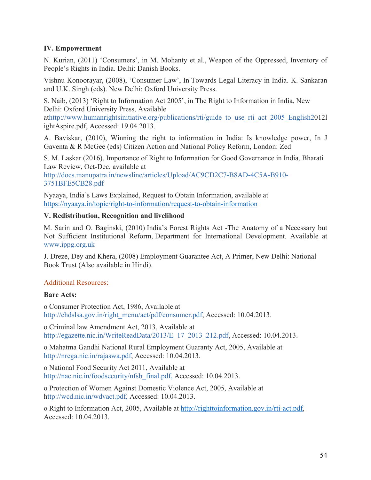### **IV. Empowerment**

N. Kurian, (2011) 'Consumers', in M. Mohanty et al., Weapon of the Oppressed, Inventory of People's Rights in India. Delhi: Danish Books.

Vishnu Konoorayar, (2008), 'Consumer Law', In Towards Legal Literacy in India. K. Sankaran and U.K. Singh (eds). New Delhi: Oxford University Press.

S. Naib, (2013) 'Right to Information Act 2005', in The Right to Information in India, New Delhi: Oxford University Press, Available

athttp://www.humanrightsinitiative.org/publications/rti/guide to use rti act 2005 English2012l ightAspire.pdf, Accessed: 19.04.2013.

A. Baviskar, (2010), Winning the right to information in India: Is knowledge power, In J Gaventa & R McGee (eds) Citizen Action and National Policy Reform, London: Zed

S. M. Laskar (2016), Importance of Right to Information for Good Governance in India, Bharati Law Review, Oct-Dec, available at

http://docs.manupatra.in/newsline/articles/Upload/AC9CD2C7-B8AD-4C5A-B910- 3751BFE5CB28.pdf

Nyaaya, India's Laws Explained, Request to Obtain Information, available at https://nyaaya.in/topic/right-to-information/request-to-obtain-information

# **V. Redistribution, Recognition and livelihood**

M. Sarin and O. Baginski, (2010) India's Forest Rights Act -The Anatomy of a Necessary but Not Sufficient Institutional Reform, Department for International Development. Available at www.ippg.org.uk

J. Dreze, Dey and Khera, (2008) Employment Guarantee Act, A Primer, New Delhi: National Book Trust (Also available in Hindi).

# Additional Resources:

### **Bare Acts:**

o Consumer Protection Act, 1986, Available at http://chdslsa.gov.in/right\_menu/act/pdf/consumer.pdf, Accessed: 10.04.2013.

o Criminal law Amendment Act, 2013, Available at http://egazette.nic.in/WriteReadData/2013/E\_17\_2013\_212.pdf, Accessed: 10.04.2013.

o Mahatma Gandhi National Rural Employment Guaranty Act, 2005, Available at http://nrega.nic.in/rajaswa.pdf, Accessed: 10.04.2013.

o National Food Security Act 2011, Available at http://nac.nic.in/foodsecurity/nfsb\_final.pdf, Accessed: 10.04.2013.

o Protection of Women Against Domestic Violence Act, 2005, Available at http://wcd.nic.in/wdvact.pdf, Accessed: 10.04.2013.

o Right to Information Act, 2005, Available at http://righttoinformation.gov.in/rti-act.pdf, Accessed: 10.04.2013.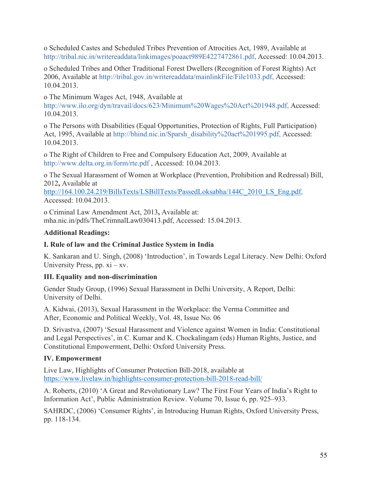o Scheduled Castes and Scheduled Tribes Prevention of Atrocities Act, 1989, Available at http://tribal.nic.in/writereaddata/linkimages/poaact989E4227472861.pdf, Accessed: 10.04.2013.

o Scheduled Tribes and Other Traditional Forest Dwellers (Recognition of Forest Rights) Act 2006, Available at http://tribal.gov.in/writereaddata/mainlinkFile/File1033.pdf, Accessed: 10.04.2013.

o The Minimum Wages Act, 1948, Available at

http://www.ilo.org/dyn/travail/docs/623/Minimum%20Wages%20Act%201948.pdf, Accessed: 10.04.2013.

o The Persons with Disabilities (Equal Opportunities, Protection of Rights, Full Participation) Act, 1995, Available at http://bhind.nic.in/Sparsh\_disability%20act%201995.pdf, Accessed: 10.04.2013.

o The Right of Children to Free and Compulsory Education Act, 2009, Available at http://www.delta.org.in/form/rte.pdf , Accessed: 10.04.2013.

o The Sexual Harassment of Women at Workplace (Prevention, Prohibition and Redressal) Bill, 2012**,** Available at

http://164.100.24.219/BillsTexts/LSBillTexts/PassedLoksabha/144C\_2010\_LS\_Eng.pdf, Accessed: 10.04.2013.

o Criminal Law Amendment Act, 2013**,** Available at: mha.nic.in/pdfs/TheCrimnalLaw030413.pdf, Accessed: 15.04.2013.

# **Additional Readings:**

# **I. Rule of law and the Criminal Justice System in India**

K. Sankaran and U. Singh, (2008) 'Introduction', in Towards Legal Literacy. New Delhi: Oxford University Press, pp.  $xi - xy$ .

# **III. Equality and non-discrimination**

Gender Study Group, (1996) Sexual Harassment in Delhi University, A Report, Delhi: University of Delhi.

A. Kidwai, (2013), Sexual Harassment in the Workplace: the Verma Committee and After, Economic and Political Weekly, Vol. 48, Issue No. 06

D. Srivastva, (2007) 'Sexual Harassment and Violence against Women in India: Constitutional and Legal Perspectives', in C. Kumar and K. Chockalingam (eds) Human Rights, Justice, and Constitutional Empowerment, Delhi: Oxford University Press.

# **IV. Empowerment**

Live Law, Highlights of Consumer Protection Bill-2018, available at https://www.livelaw.in/highlights-consumer-protection-bill-2018-read-bill/

A. Roberts, (2010) 'A Great and Revolutionary Law? The First Four Years of India's Right to Information Act', Public Administration Review. Volume 70, Issue 6, pp. 925–933.

SAHRDC, (2006) 'Consumer Rights', in Introducing Human Rights, Oxford University Press, pp. 118-134.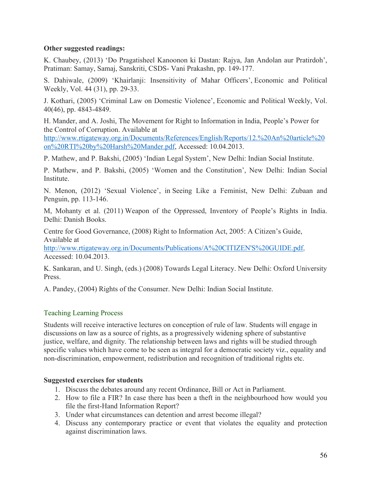#### **Other suggested readings:**

K. Chaubey, (2013) 'Do Pragatisheel Kanoonon ki Dastan: Rajya, Jan Andolan aur Pratirdoh', Pratiman: Samay, Samaj, Sanskriti, CSDS- Vani Prakashn, pp. 149-177.

S. Dahiwale, (2009) 'Khairlanji: Insensitivity of Mahar Officers', Economic and Political Weekly, Vol. 44 (31), pp. 29-33.

J. Kothari, (2005) 'Criminal Law on Domestic Violence', Economic and Political Weekly, Vol. 40(46), pp. 4843-4849.

H. Mander, and A. Joshi, The Movement for Right to Information in India, People's Power for the Control of Corruption. Available at

http://www.rtigateway.org.in/Documents/References/English/Reports/12.%20An%20article%20 on%20RTI%20by%20Harsh%20Mander.pdf, Accessed: 10.04.2013.

P. Mathew, and P. Bakshi, (2005) 'Indian Legal System', New Delhi: Indian Social Institute.

P. Mathew, and P. Bakshi, (2005) 'Women and the Constitution', New Delhi: Indian Social Institute.

N. Menon, (2012) 'Sexual Violence', in Seeing Like a Feminist, New Delhi: Zubaan and Penguin, pp. 113-146.

M, Mohanty et al. (2011) Weapon of the Oppressed, Inventory of People's Rights in India. Delhi: Danish Books.

Centre for Good Governance, (2008) Right to Information Act, 2005: A Citizen's Guide, Available at

http://www.rtigateway.org.in/Documents/Publications/A%20CITIZEN'S%20GUIDE.pdf, Accessed: 10.04.2013.

K. Sankaran, and U. Singh, (eds.) (2008) Towards Legal Literacy. New Delhi: Oxford University Press.

A. Pandey, (2004) Rights of the Consumer. New Delhi: Indian Social Institute.

### Teaching Learning Process

Students will receive interactive lectures on conception of rule of law. Students will engage in discussions on law as a source of rights, as a progressively widening sphere of substantive justice, welfare, and dignity. The relationship between laws and rights will be studied through specific values which have come to be seen as integral for a democratic society viz., equality and non-discrimination, empowerment, redistribution and recognition of traditional rights etc.

### **Suggested exercises for students**

- 1. Discuss the debates around any recent Ordinance, Bill or Act in Parliament.
- 2. How to file a FIR? In case there has been a theft in the neighbourhood how would you file the first-Hand Information Report?
- 3. Under what circumstances can detention and arrest become illegal?
- 4. Discuss any contemporary practice or event that violates the equality and protection against discrimination laws.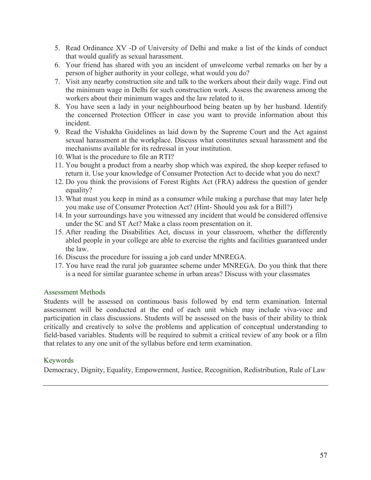- 5. Read Ordinance XV -D of University of Delhi and make a list of the kinds of conduct that would qualify as sexual harassment.
- 6. Your friend has shared with you an incident of unwelcome verbal remarks on her by a person of higher authority in your college, what would you do?
- 7. Visit any nearby construction site and talk to the workers about their daily wage. Find out the minimum wage in Delhi for such construction work. Assess the awareness among the workers about their minimum wages and the law related to it.
- 8. You have seen a lady in your neighbourhood being beaten up by her husband. Identify the concerned Protection Officer in case you want to provide information about this incident.
- 9. Read the Vishakha Guidelines as laid down by the Supreme Court and the Act against sexual harassment at the workplace. Discuss what constitutes sexual harassment and the mechanisms available for its redressal in your institution.
- 10. What is the procedure to file an RTI?
- 11. You bought a product from a nearby shop which was expired, the shop keeper refused to return it. Use your knowledge of Consumer Protection Act to decide what you do next?
- 12. Do you think the provisions of Forest Rights Act (FRA) address the question of gender equality?
- 13. What must you keep in mind as a consumer while making a purchase that may later help you make use of Consumer Protection Act? (Hint- Should you ask for a Bill?)
- 14. In your surroundings have you witnessed any incident that would be considered offensive under the SC and ST Act? Make a class room presentation on it.
- 15. After reading the Disabilities Act, discuss in your classroom, whether the differently abled people in your college are able to exercise the rights and facilities guaranteed under the law.
- 16. Discuss the procedure for issuing a job card under MNREGA.
- 17. You have read the rural job guarantee scheme under MNREGA. Do you think that there is a need for similar guarantee scheme in urban areas? Discuss with your classmates

#### Assessment Methods

Students will be assessed on continuous basis followed by end term examination. Internal assessment will be conducted at the end of each unit which may include viva-voce and participation in class discussions. Students will be assessed on the basis of their ability to think critically and creatively to solve the problems and application of conceptual understanding to field-based variables. Students will be required to submit a critical review of any book or a film that relates to any one unit of the syllabus before end term examination.

### Keywords

Democracy, Dignity, Equality, Empowerment, Justice, Recognition, Redistribution, Rule of Law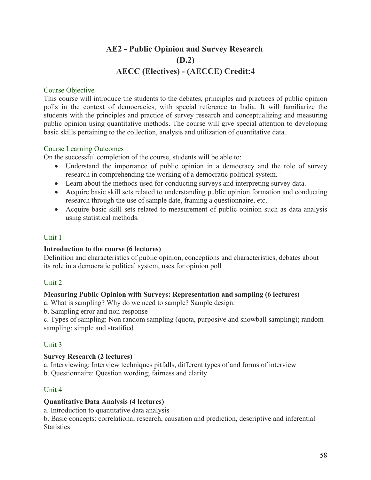# **AE2 - Public Opinion and Survey Research (D.2) AECC (Electives) - (AECCE) Credit:4**

#### Course Objective

This course will introduce the students to the debates, principles and practices of public opinion polls in the context of democracies, with special reference to India. It will familiarize the students with the principles and practice of survey research and conceptualizing and measuring public opinion using quantitative methods. The course will give special attention to developing basic skills pertaining to the collection, analysis and utilization of quantitative data.

#### Course Learning Outcomes

On the successful completion of the course, students will be able to:

- Understand the importance of public opinion in a democracy and the role of survey research in comprehending the working of a democratic political system.
- Learn about the methods used for conducting surveys and interpreting survey data.
- Acquire basic skill sets related to understanding public opinion formation and conducting research through the use of sample date, framing a questionnaire, etc.
- Acquire basic skill sets related to measurement of public opinion such as data analysis using statistical methods.

#### Unit 1

### **Introduction to the course (6 lectures)**

Definition and characteristics of public opinion, conceptions and characteristics, debates about its role in a democratic political system, uses for opinion poll

### Unit 2

#### **Measuring Public Opinion with Surveys: Representation and sampling (6 lectures)**

a. What is sampling? Why do we need to sample? Sample design.

b. Sampling error and non-response

c. Types of sampling: Non random sampling (quota, purposive and snowball sampling); random sampling: simple and stratified

### Unit 3

### **Survey Research (2 lectures)**

a. Interviewing: Interview techniques pitfalls, different types of and forms of interview b. Questionnaire: Question wording; fairness and clarity.

### Unit 4

#### **Quantitative Data Analysis (4 lectures)**

a. Introduction to quantitative data analysis

b. Basic concepts: correlational research, causation and prediction, descriptive and inferential **Statistics**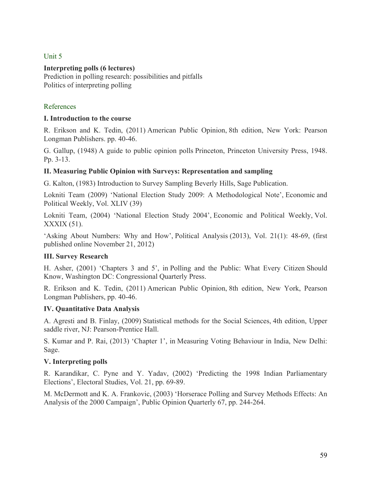### Unit 5

### **Interpreting polls (6 lectures)**

Prediction in polling research: possibilities and pitfalls Politics of interpreting polling

# References

#### **I. Introduction to the course**

R. Erikson and K. Tedin, (2011) American Public Opinion, 8th edition, New York: Pearson Longman Publishers. pp. 40-46.

G. Gallup, (1948) A guide to public opinion polls Princeton, Princeton University Press, 1948. Pp. 3-13.

#### **II. Measuring Public Opinion with Surveys: Representation and sampling**

G. Kalton, (1983) Introduction to Survey Sampling Beverly Hills, Sage Publication.

Lokniti Team (2009) 'National Election Study 2009: A Methodological Note', Economic and Political Weekly, Vol. XLIV (39)

Lokniti Team, (2004) 'National Election Study 2004', Economic and Political Weekly, Vol. XXXIX (51).

'Asking About Numbers: Why and How', Political Analysis (2013), Vol. 21(1): 48-69, (first published online November 21, 2012)

### **III. Survey Research**

H. Asher, (2001) 'Chapters 3 and 5', in Polling and the Public: What Every Citizen Should Know, Washington DC: Congressional Quarterly Press.

R. Erikson and K. Tedin, (2011) American Public Opinion, 8th edition, New York, Pearson Longman Publishers, pp. 40-46.

#### **IV. Quantitative Data Analysis**

A. Agresti and B. Finlay, (2009) Statistical methods for the Social Sciences, 4th edition, Upper saddle river, NJ: Pearson-Prentice Hall.

S. Kumar and P. Rai, (2013) 'Chapter 1', in Measuring Voting Behaviour in India, New Delhi: Sage.

### **V. Interpreting polls**

R. Karandikar, C. Pyne and Y. Yadav, (2002) 'Predicting the 1998 Indian Parliamentary Elections', Electoral Studies, Vol. 21, pp. 69-89.

M. McDermott and K. A. Frankovic, (2003) 'Horserace Polling and Survey Methods Effects: An Analysis of the 2000 Campaign', Public Opinion Quarterly 67, pp. 244-264.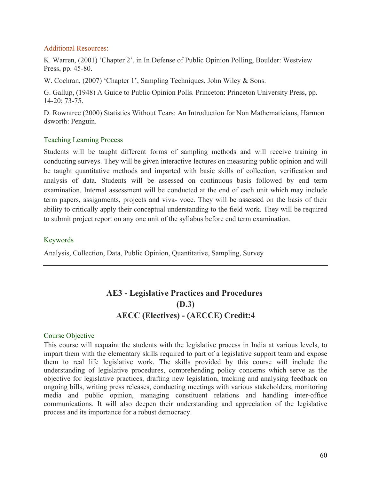#### Additional Resources:

K. Warren, (2001) 'Chapter 2', in In Defense of Public Opinion Polling, Boulder: Westview Press, pp. 45-80.

W. Cochran, (2007) 'Chapter 1', Sampling Techniques, John Wiley & Sons.

G. Gallup, (1948) A Guide to Public Opinion Polls. Princeton: Princeton University Press, pp. 14-20; 73-75.

D. Rowntree (2000) Statistics Without Tears: An Introduction for Non Mathematicians, Harmon dsworth: Penguin.

# Teaching Learning Process

Students will be taught different forms of sampling methods and will receive training in conducting surveys. They will be given interactive lectures on measuring public opinion and will be taught quantitative methods and imparted with basic skills of collection, verification and analysis of data. Students will be assessed on continuous basis followed by end term examination. Internal assessment will be conducted at the end of each unit which may include term papers, assignments, projects and viva- voce. They will be assessed on the basis of their ability to critically apply their conceptual understanding to the field work. They will be required to submit project report on any one unit of the syllabus before end term examination.

#### Keywords

Analysis, Collection, Data, Public Opinion, Quantitative, Sampling, Survey

# **AE3 - Legislative Practices and Procedures (D.3) AECC (Electives) - (AECCE) Credit:4**

### Course Objective

This course will acquaint the students with the legislative process in India at various levels, to impart them with the elementary skills required to part of a legislative support team and expose them to real life legislative work. The skills provided by this course will include the understanding of legislative procedures, comprehending policy concerns which serve as the objective for legislative practices, drafting new legislation, tracking and analysing feedback on ongoing bills, writing press releases, conducting meetings with various stakeholders, monitoring media and public opinion, managing constituent relations and handling inter-office communications. It will also deepen their understanding and appreciation of the legislative process and its importance for a robust democracy.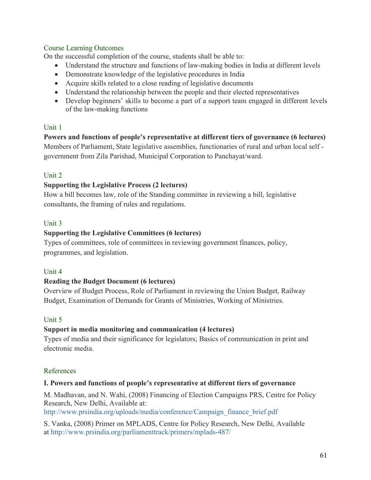# Course Learning Outcomes

On the successful completion of the course, students shall be able to:

- Understand the structure and functions of law-making bodies in India at different levels
- Demonstrate knowledge of the legislative procedures in India
- Acquire skills related to a close reading of legislative documents
- Understand the relationship between the people and their elected representatives
- Develop beginners' skills to become a part of a support team engaged in different levels of the law-making functions

# Unit 1

# **Powers and functions of people's representative at different tiers of governance (6 lectures)**

Members of Parliament, State legislative assemblies, functionaries of rural and urban local self government from Zila Parishad, Municipal Corporation to Panchayat/ward.

# Unit 2

# **Supporting the Legislative Process (2 lectures)**

How a bill becomes law, role of the Standing committee in reviewing a bill, legislative consultants, the framing of rules and regulations.

# Unit 3

# **Supporting the Legislative Committees (6 lectures)**

Types of committees, role of committees in reviewing government finances, policy, programmes, and legislation.

### Unit 4

### **Reading the Budget Document (6 lectures)**

Overview of Budget Process, Role of Parliament in reviewing the Union Budget, Railway Budget, Examination of Demands for Grants of Ministries, Working of Ministries.

# Unit 5

# **Support in media monitoring and communication (4 lectures)**

Types of media and their significance for legislators; Basics of communication in print and electronic media.

### References

### **I. Powers and functions of people's representative at different tiers of governance**

M. Madhavan, and N. Wahi, (2008) Financing of Election Campaigns PRS, Centre for Policy Research, New Delhi, Available at:

http://www.prsindia.org/uploads/media/conference/Campaign\_finance\_brief.pdf

S. Vanka, (2008) Primer on MPLADS, Centre for Policy Research, New Delhi, Available at http://www.prsindia.org/parliamenttrack/primers/mplads-487/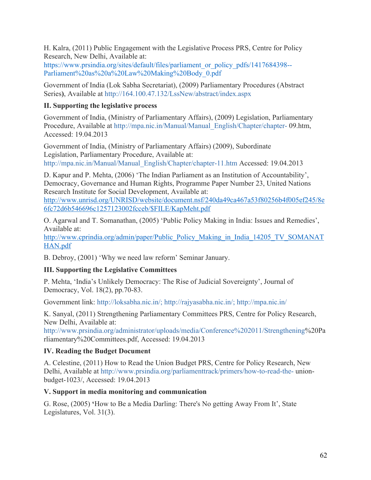H. Kalra, (2011) Public Engagement with the Legislative Process PRS, Centre for Policy Research, New Delhi, Available at:

https://www.prsindia.org/sites/default/files/parliament\_or\_policy\_pdfs/1417684398-- Parliament%20as%20a%20Law%20Making%20Body\_0.pdf

Government of India (Lok Sabha Secretariat), (2009) Parliamentary Procedures (Abstract Series**)**, Available at http://164.100.47.132/LssNew/abstract/index.aspx

# **II. Supporting the legislative process**

Government of India, (Ministry of Parliamentary Affairs), (2009) Legislation, Parliamentary Procedure, Available at http://mpa.nic.in/Manual/Manual\_English/Chapter/chapter- 09.htm, Accessed: 19.04.2013

Government of India, (Ministry of Parliamentary Affairs) (2009), Subordinate Legislation, Parliamentary Procedure, Available at: http://mpa.nic.in/Manual/Manual\_English/Chapter/chapter-11.htm Accessed: 19.04.2013

D. Kapur and P. Mehta, (2006) 'The Indian Parliament as an Institution of Accountability', Democracy, Governance and Human Rights, Programme Paper Number 23, United Nations Research Institute for Social Development, Available at:

http://www.unrisd.org/UNRISD/website/document.nsf/240da49ca467a53f80256b4f005ef245/8e 6fc72d6b546696c1257123002fcceb/\$FILE/KapMeht.pdf

O. Agarwal and T. Somanathan, (2005) 'Public Policy Making in India: Issues and Remedies', Available at:

http://www.cprindia.org/admin/paper/Public\_Policy\_Making\_in\_India\_14205\_TV\_SOMANAT HAN.pdf

B. Debroy, (2001) 'Why we need law reform' Seminar January.

# **III. Supporting the Legislative Committees**

P. Mehta, 'India's Unlikely Democracy: The Rise of Judicial Sovereignty', Journal of Democracy, Vol. 18(2), pp.70-83.

Government link: http://loksabha.nic.in/; http://rajyasabha.nic.in/; http://mpa.nic.in/

K. Sanyal, (2011) Strengthening Parliamentary Committees PRS, Centre for Policy Research, New Delhi, Available at:

http://www.prsindia.org/administrator/uploads/media/Conference%202011/Strengthening%20Pa rliamentary%20Committees.pdf, Accessed: 19.04.2013

# **IV. Reading the Budget Document**

A. Celestine, (2011) How to Read the Union Budget PRS, Centre for Policy Research, New Delhi, Available at http://www.prsindia.org/parliamenttrack/primers/how-to-read-the- unionbudget-1023/, Accessed: 19.04.2013

# **V. Support in media monitoring and communication**

G. Rose, (2005) **'**How to Be a Media Darling: There's No getting Away From It', State Legislatures, Vol. 31(3).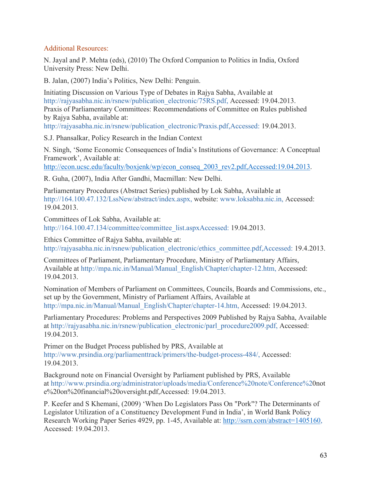### Additional Resources:

N. Jayal and P. Mehta (eds), (2010) The Oxford Companion to Politics in India, Oxford University Press: New Delhi.

B. Jalan, (2007) India's Politics, New Delhi: Penguin.

Initiating Discussion on Various Type of Debates in Rajya Sabha, Available at http://rajyasabha.nic.in/rsnew/publication\_electronic/75RS.pdf, Accessed: 19.04.2013. Praxis of Parliamentary Committees: Recommendations of Committee on Rules published by Rajya Sabha, available at:

http://rajyasabha.nic.in/rsnew/publication\_electronic/Praxis.pdf,Accessed: 19.04.2013.

S.J. Phansalkar, Policy Research in the Indian Context

N. Singh, 'Some Economic Consequences of India's Institutions of Governance: A Conceptual Framework', Available at:

http://econ.ucsc.edu/faculty/boxjenk/wp/econ\_conseq\_2003\_rev2.pdf,Accessed:19.04.2013.

R. Guha, (2007), India After Gandhi, Macmillan: New Delhi.

Parliamentary Procedures (Abstract Series) published by Lok Sabha, Available at http://164.100.47.132/LssNew/abstract/index.aspx, website: www.loksabha.nic.in, Accessed: 19.04.2013.

Committees of Lok Sabha, Available at: http://164.100.47.134/committee/committee\_list.aspxAccessed: 19.04.2013.

Ethics Committee of Rajya Sabha, available at: http://rajyasabha.nic.in/rsnew/publication\_electronic/ethics\_committee.pdf,Accessed: 19.4.2013.

Committees of Parliament, Parliamentary Procedure, Ministry of Parliamentary Affairs, Available at http://mpa.nic.in/Manual/Manual\_English/Chapter/chapter-12.htm, Accessed: 19.04.2013.

Nomination of Members of Parliament on Committees, Councils, Boards and Commissions, etc., set up by the Government, Ministry of Parliament Affairs, Available at http://mpa.nic.in/Manual/Manual\_English/Chapter/chapter-14.htm, Accessed: 19.04.2013.

Parliamentary Procedures: Problems and Perspectives 2009 Published by Rajya Sabha, Available at http://rajyasabha.nic.in/rsnew/publication\_electronic/parl\_procedure2009.pdf, Accessed: 19.04.2013.

Primer on the Budget Process published by PRS, Available at http://www.prsindia.org/parliamenttrack/primers/the-budget-process-484/, Accessed: 19.04.2013.

Background note on Financial Oversight by Parliament published by PRS, Available at http://www.prsindia.org/administrator/uploads/media/Conference%20note/Conference%20not e%20on%20financial%20oversight.pdf,Accessed: 19.04.2013.

P. Keefer and S Khemani, (2009) 'When Do Legislators Pass On "Pork"? The Determinants of Legislator Utilization of a Constituency Development Fund in India', in World Bank Policy Research Working Paper Series 4929, pp. 1-45, Available at: http://ssrn.com/abstract=1405160, Accessed: 19.04.2013.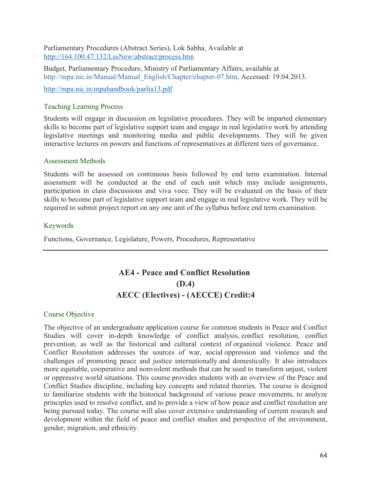Parliamentary Procedures (Abstract Series), Lok Sabha, Available at http://164.100.47.132/LssNew/abstract/process.htm

Budget, Parliamentary Procedure, Ministry of Parliamentary Affairs, available at http://mpa.nic.in/Manual/Manual\_English/Chapter/chapter-07.htm, Accessed: 19.04.2013.

http://mpa.nic.in/mpahandbook/parlia13.pdf

#### Teaching Learning Process

Students will engage in discussion on legislative procedures. They will be imparted elementary skills to become part of legislative support team and engage in real legislative work by attending legislative meetings and monitoring media and public developments. They will be given interactive lectures on powers and functions of representatives at different tiers of governance.

#### Assessment Methods

Students will be assessed on continuous basis followed by end term examination. Internal assessment will be conducted at the end of each unit which may include assignments, participation in class discussions and viva voce. They will be evaluated on the basis of their skills to become part of legislative support team and engage in real legislative work. They will be required to submit project report on any one unit of the syllabus before end term examination.

#### Keywords

Functions, Governance, Legislature, Powers, Procedures, Representative

# **AE4 - Peace and Conflict Resolution (D.4) AECC (Electives) - (AECCE) Credit:4**

#### Course Objective

The objective of an undergraduate application course for common students in Peace and Conflict Studies will cover in-depth knowledge of conflict analysis, conflict resolution, conflict prevention, as well as the historical and cultural context of organized violence. Peace and Conflict Resolution addresses the sources of war, social oppression and violence and the challenges of promoting peace and justice internationally and domestically. It also introduces more equitable, cooperative and nonviolent methods that can be used to transform unjust, violent or oppressive world situations. This course provides students with an overview of the Peace and Conflict Studies discipline, including key concepts and related theories. The course is designed to familiarize students with the historical background of various peace movements, to analyze principles used to resolve conflict, and to provide a view of how peace and conflict resolution are being pursued today. The course will also cover extensive understanding of current research and development within the field of peace and conflict studies and perspective of the environment, gender, migration, and ethnicity.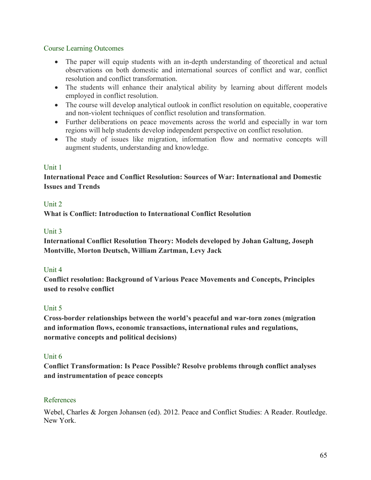### Course Learning Outcomes

- The paper will equip students with an in-depth understanding of theoretical and actual observations on both domestic and international sources of conflict and war, conflict resolution and conflict transformation.
- The students will enhance their analytical ability by learning about different models employed in conflict resolution.
- The course will develop analytical outlook in conflict resolution on equitable, cooperative and non-violent techniques of conflict resolution and transformation.
- Further deliberations on peace movements across the world and especially in war torn regions will help students develop independent perspective on conflict resolution.
- The study of issues like migration, information flow and normative concepts will augment students, understanding and knowledge.

### Unit 1

# **International Peace and Conflict Resolution: Sources of War: International and Domestic Issues and Trends**

### Unit 2

**What is Conflict: Introduction to International Conflict Resolution**

### Unit 3

**International Conflict Resolution Theory: Models developed by Johan Galtung, Joseph Montville, Morton Deutsch, William Zartman, Levy Jack**

### Unit 4

**Conflict resolution: Background of Various Peace Movements and Concepts, Principles used to resolve conflict**

### Unit 5

**Cross-border relationships between the world's peaceful and war-torn zones (migration and information flows, economic transactions, international rules and regulations, normative concepts and political decisions)**

### Unit 6

**Conflict Transformation: Is Peace Possible? Resolve problems through conflict analyses and instrumentation of peace concepts**

### References

Webel, Charles & Jorgen Johansen (ed). 2012. Peace and Conflict Studies: A Reader. Routledge. New York.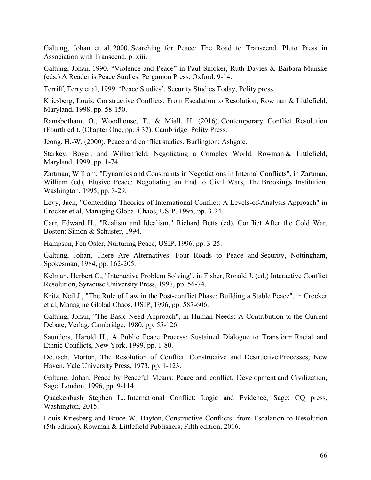Galtung, Johan et al. 2000. Searching for Peace: The Road to Transcend. Pluto Press in Association with Transcend. p. xiii.

Galtung, Johan. 1990. "Violence and Peace" in Paul Smoker, Ruth Davies & Barbara Munske (eds.) A Reader is Peace Studies. Pergamon Press: Oxford. 9-14.

Terriff, Terry et al, 1999. 'Peace Studies', Security Studies Today, Polity press.

Kriesberg, Louis, Constructive Conflicts: From Escalation to Resolution, Rowman & Littlefield, Maryland, 1998, pp. 58-150.

Ramsbotham, O., Woodhouse, T., & Miall, H. (2016). Contemporary Conflict Resolution (Fourth ed.). (Chapter One, pp. 3 37). Cambridge: Polity Press.

Jeong, H.-W. (2000). Peace and conflict studies. Burlington: Ashgate.

Starkey, Boyer, and Wilkenfield, Negotiating a Complex World. Rowman & Littlefield, Maryland, 1999, pp. 1-74.

Zartman, William, "Dynamics and Constraints in Negotiations in Internal Conflicts", in Zartman, William (ed), Elusive Peace: Negotiating an End to Civil Wars, The Brookings Institution, Washington, 1995, pp. 3-29.

Levy, Jack, "Contending Theories of International Conflict: A Levels-of-Analysis Approach" in Crocker et al, Managing Global Chaos, USIP, 1995, pp. 3-24.

Carr, Edward H., "Realism and Idealism," Richard Betts (ed), Conflict After the Cold War, Boston: Simon & Schuster, 1994.

Hampson, Fen Osler, Nurturing Peace, USIP, 1996, pp. 3-25.

Galtung, Johan, There Are Alternatives: Four Roads to Peace and Security, Nottingham, Spokesman, 1984, pp. 162-205.

Kelman, Herbert C., "Interactive Problem Solving", in Fisher, Ronald J. (ed.) Interactive Conflict Resolution, Syracuse University Press, 1997, pp. 56-74.

Kritz, Neil J., "The Rule of Law in the Post-conflict Phase: Building a Stable Peace", in Crocker et al, Managing Global Chaos, USIP, 1996, pp. 587-606.

Galtung, Johan, "The Basic Need Approach", in Human Needs: A Contribution to the Current Debate, Verlag, Cambridge, 1980, pp. 55-126.

Saunders, Harold H., A Public Peace Process: Sustained Dialogue to Transform Racial and Ethnic Conflicts, New York, 1999, pp. 1-80.

Deutsch, Morton, The Resolution of Conflict: Constructive and Destructive Processes, New Haven, Yale University Press, 1973, pp. 1-123.

Galtung, Johan, Peace by Peaceful Means: Peace and conflict, Development and Civilization, Sage, London, 1996, pp. 9-114.

Quackenbush Stephen L., International Conflict: Logic and Evidence, Sage: CQ press, Washington, 2015.

Louis Kriesberg and Bruce W. Dayton, Constructive Conflicts: from Escalation to Resolution (5th edition), Rowman & Littlefield Publishers; Fifth edition, 2016.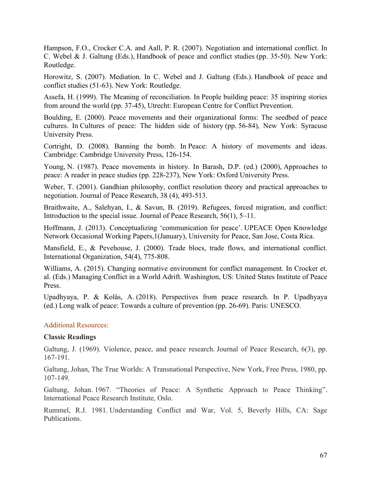Hampson, F.O., Crocker C.A. and Aall, P. R. (2007). Negotiation and international conflict. In C. Webel & J. Galtung (Eds.), Handbook of peace and conflict studies (pp. 35-50). New York: Routledge.

Horowitz, S. (2007). Mediation. In C. Webel and J. Galtung (Eds.). Handbook of peace and conflict studies (51-63). New York: Routledge.

Assefa, H. (1999). The Meaning of reconciliation. In People building peace: 35 inspiring stories from around the world (pp. 37-45), Utrecht: European Centre for Conflict Prevention.

Boulding, E. (2000). Peace movements and their organizational forms: The seedbed of peace cultures. In Cultures of peace: The hidden side of history (pp. 56-84), New York: Syracuse University Press.

Cortright, D. (2008). Banning the bomb. In Peace: A history of movements and ideas. Cambridge: Cambridge University Press, 126-154.

Young, N. (1987). Peace movements in history. In Barash, D.P. (ed.) (2000), Approaches to peace: A reader in peace studies (pp. 228-237), New York: Oxford University Press.

Weber, T. (2001). Gandhian philosophy, conflict resolution theory and practical approaches to negotiation. Journal of Peace Research, 38 (4), 493-513.

Braithwaite, A., Salehyan, I., & Savun, B. (2019). Refugees, forced migration, and conflict: Introduction to the special issue. Journal of Peace Research, 56(1), 5–11.

Hoffmann, J. (2013). Conceptualizing 'communication for peace'. UPEACE Open Knowledge Network Occasional Working Papers,1(January), University for Peace, San Jose, Costa Rica.

Mansfield, E., & Pevehouse, J. (2000). Trade blocs, trade flows, and international conflict. International Organization, 54(4), 775-808.

Williams, A. (2015). Changing normative environment for conflict management. In Crocker et. al. (Eds.) Managing Conflict in a World Adrift. Washington, US: United States Institute of Peace Press.

Upadhyaya, P. & Kolås, A. (2018). Perspectives from peace research. In P. Upadhyaya (ed.) Long walk of peace: Towards a culture of prevention (pp. 26-69). Paris: UNESCO.

#### Additional Resources:

#### **Classic Readings**

Galtung, J. (1969). Violence, peace, and peace research. Journal of Peace Research, 6(3), pp. 167-191.

Galtung, Johan, The True Worlds: A Transnational Perspective, New York, Free Press, 1980, pp. 107-149.

Galtung, Johan. 1967. "Theories of Peace: A Synthetic Approach to Peace Thinking". International Peace Research Institute, Oslo.

Rummel, R.J. 1981. Understanding Conflict and War, Vol. 5, Beverly Hills, CA: Sage Publications.